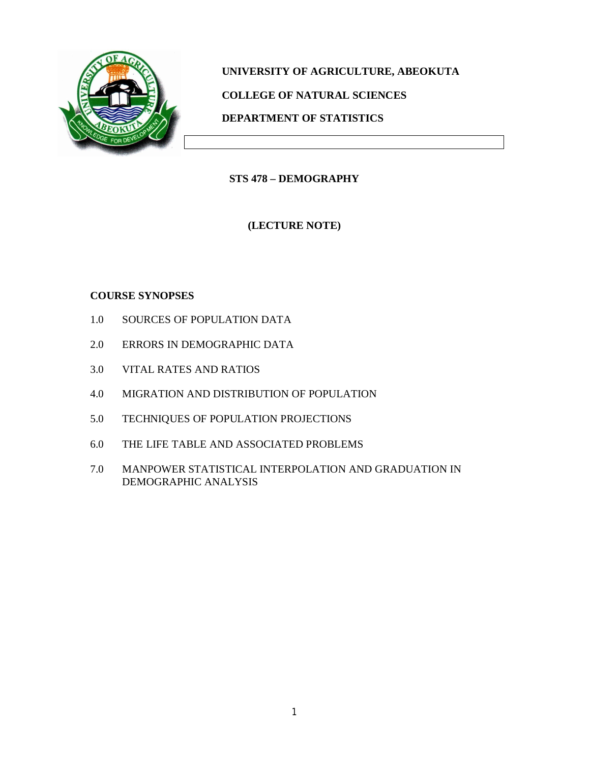

**UNIVERSITY OF AGRICULTURE, ABEOKUTA COLLEGE OF NATURAL SCIENCES DEPARTMENT OF STATISTICS**

**STS 478 – DEMOGRAPHY**

**(LECTURE NOTE)**

## **COURSE SYNOPSES**

- 1.0 SOURCES OF POPULATION DATA
- 2.0 ERRORS IN DEMOGRAPHIC DATA
- 3.0 VITAL RATES AND RATIOS
- 4.0 MIGRATION AND DISTRIBUTION OF POPULATION
- 5.0 TECHNIQUES OF POPULATION PROJECTIONS
- 6.0 THE LIFE TABLE AND ASSOCIATED PROBLEMS
- 7.0 MANPOWER STATISTICAL INTERPOLATION AND GRADUATION IN DEMOGRAPHIC ANALYSIS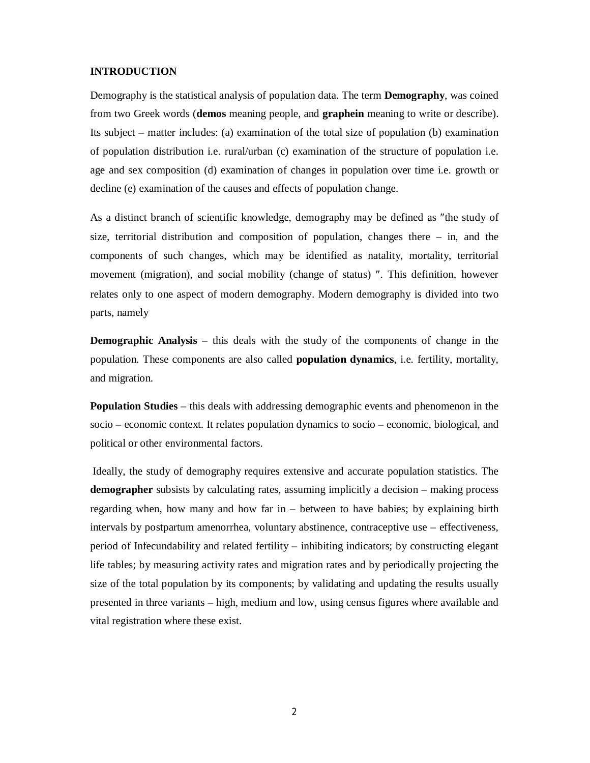#### **INTRODUCTION**

Demography is the statistical analysis of population data. The term **Demography**, was coined from two Greek words (**demos** meaning people, and **graphein** meaning to write or describe). Its subject – matter includes: (a) examination of the total size of population (b) examination of population distribution i.e. rural/urban (c) examination of the structure of population i.e. age and sex composition (d) examination of changes in population over time i.e. growth or decline (e) examination of the causes and effects of population change.

As a distinct branch of scientific knowledge, demography may be defined as "the study of size, territorial distribution and composition of population, changes there  $-$  in, and the components of such changes, which may be identified as natality, mortality, territorial movement (migration), and social mobility (change of status) ". This definition, however relates only to one aspect of modern demography. Modern demography is divided into two parts, namely

**Demographic Analysis** – this deals with the study of the components of change in the population. These components are also called **population dynamics**, i.e. fertility, mortality, and migration.

**Population Studies** – this deals with addressing demographic events and phenomenon in the socio – economic context. It relates population dynamics to socio – economic, biological, and political or other environmental factors.

Ideally, the study of demography requires extensive and accurate population statistics. The **demographer** subsists by calculating rates, assuming implicitly a decision – making process regarding when, how many and how far in – between to have babies; by explaining birth intervals by postpartum amenorrhea, voluntary abstinence, contraceptive use – effectiveness, period of Infecundability and related fertility – inhibiting indicators; by constructing elegant life tables; by measuring activity rates and migration rates and by periodically projecting the size of the total population by its components; by validating and updating the results usually presented in three variants – high, medium and low, using census figures where available and vital registration where these exist.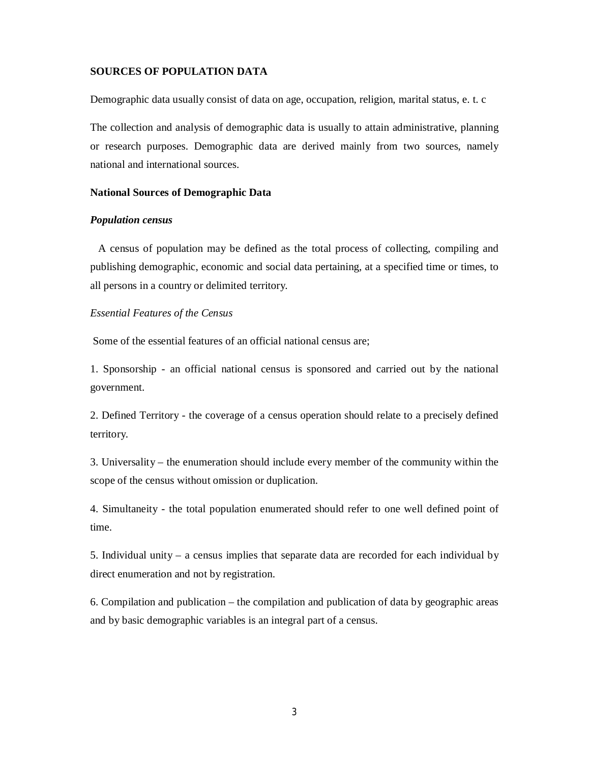#### **SOURCES OF POPULATION DATA**

Demographic data usually consist of data on age, occupation, religion, marital status, e. t. c

The collection and analysis of demographic data is usually to attain administrative, planning or research purposes. Demographic data are derived mainly from two sources, namely national and international sources.

#### **National Sources of Demographic Data**

#### *Population census*

 A census of population may be defined as the total process of collecting, compiling and publishing demographic, economic and social data pertaining, at a specified time or times, to all persons in a country or delimited territory.

#### *Essential Features of the Census*

Some of the essential features of an official national census are;

1. Sponsorship - an official national census is sponsored and carried out by the national government.

2. Defined Territory - the coverage of a census operation should relate to a precisely defined territory.

3. Universality – the enumeration should include every member of the community within the scope of the census without omission or duplication.

4. Simultaneity - the total population enumerated should refer to one well defined point of time.

5. Individual unity – a census implies that separate data are recorded for each individual by direct enumeration and not by registration.

6. Compilation and publication – the compilation and publication of data by geographic areas and by basic demographic variables is an integral part of a census.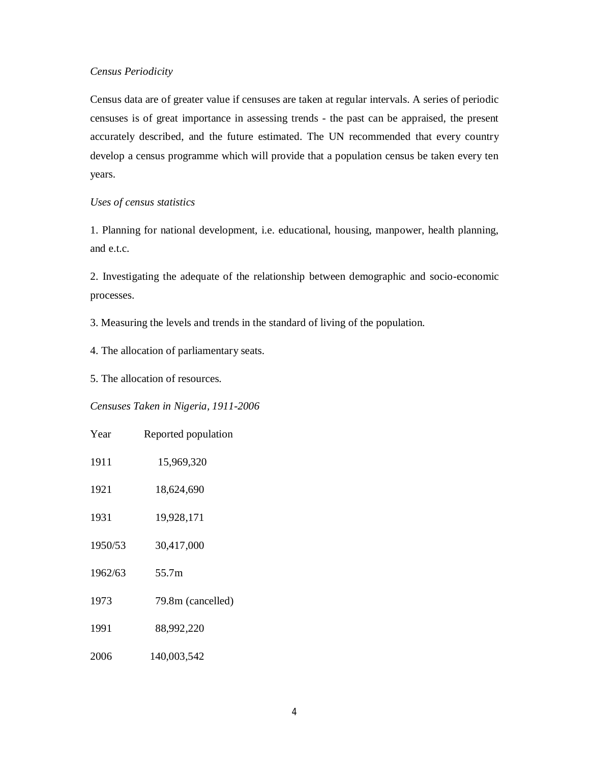#### *Census Periodicity*

Census data are of greater value if censuses are taken at regular intervals. A series of periodic censuses is of great importance in assessing trends - the past can be appraised, the present accurately described, and the future estimated. The UN recommended that every country develop a census programme which will provide that a population census be taken every ten years.

#### *Uses of census statistics*

1. Planning for national development, i.e. educational, housing, manpower, health planning, and e.t.c.

2. Investigating the adequate of the relationship between demographic and socio-economic processes.

3. Measuring the levels and trends in the standard of living of the population.

4. The allocation of parliamentary seats.

5. The allocation of resources.

#### *Censuses Taken in Nigeria, 1911-2006*

| Year    | Reported population |
|---------|---------------------|
| 1911    | 15,969,320          |
| 1921    | 18,624,690          |
| 1931    | 19,928,171          |
| 1950/53 | 30,417,000          |
| 1962/63 | 55.7m               |
| 1973    | 79.8m (cancelled)   |
| 1991    | 88,992,220          |
| 2006    | 140,003,542         |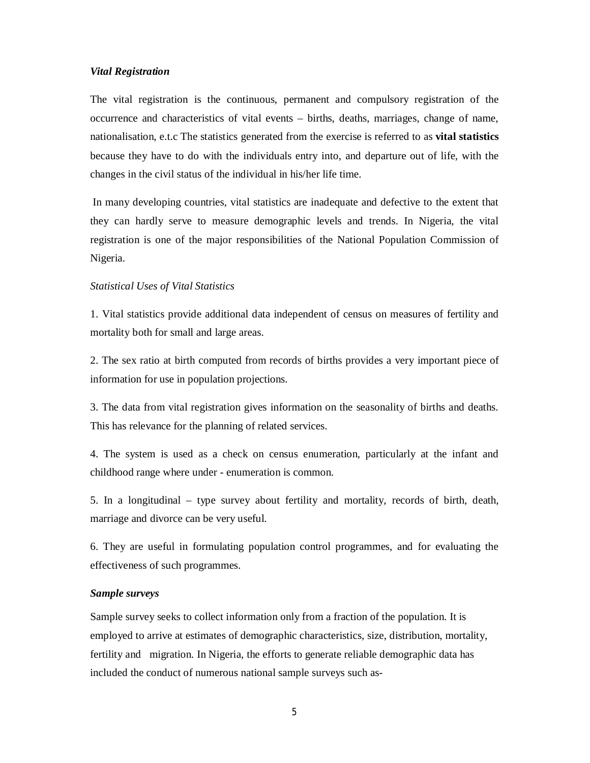#### *Vital Registration*

The vital registration is the continuous, permanent and compulsory registration of the occurrence and characteristics of vital events – births, deaths, marriages, change of name, nationalisation, e.t.c The statistics generated from the exercise is referred to as **vital statistics** because they have to do with the individuals entry into, and departure out of life, with the changes in the civil status of the individual in his/her life time.

In many developing countries, vital statistics are inadequate and defective to the extent that they can hardly serve to measure demographic levels and trends. In Nigeria, the vital registration is one of the major responsibilities of the National Population Commission of Nigeria.

#### *Statistical Uses of Vital Statistics*

1. Vital statistics provide additional data independent of census on measures of fertility and mortality both for small and large areas.

2. The sex ratio at birth computed from records of births provides a very important piece of information for use in population projections.

3. The data from vital registration gives information on the seasonality of births and deaths. This has relevance for the planning of related services.

4. The system is used as a check on census enumeration, particularly at the infant and childhood range where under - enumeration is common.

5. In a longitudinal – type survey about fertility and mortality, records of birth, death, marriage and divorce can be very useful.

6. They are useful in formulating population control programmes, and for evaluating the effectiveness of such programmes.

#### *Sample surveys*

Sample survey seeks to collect information only from a fraction of the population. It is employed to arrive at estimates of demographic characteristics, size, distribution, mortality, fertility and migration. In Nigeria, the efforts to generate reliable demographic data has included the conduct of numerous national sample surveys such as-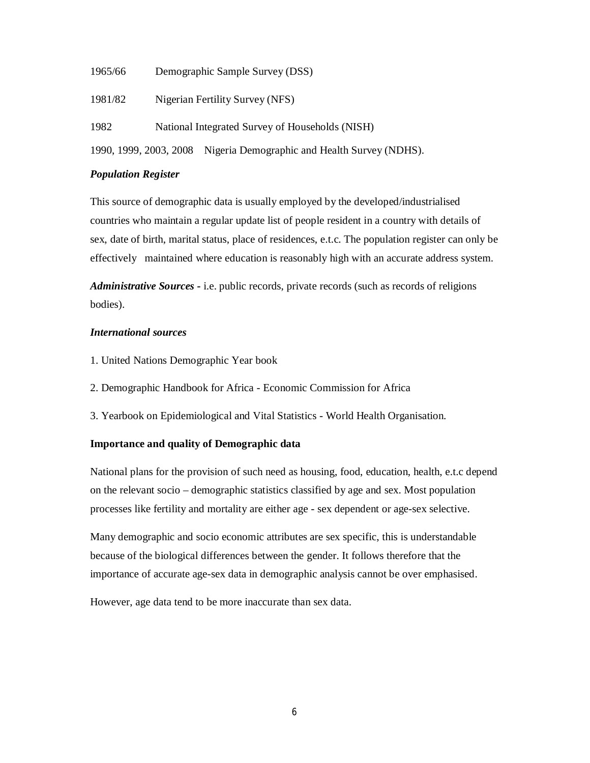- 1965/66 Demographic Sample Survey (DSS)
- 1981/82 Nigerian Fertility Survey (NFS)
- 1982 National Integrated Survey of Households (NISH)

1990, 1999, 2003, 2008 Nigeria Demographic and Health Survey (NDHS).

#### *Population Register*

This source of demographic data is usually employed by the developed/industrialised countries who maintain a regular update list of people resident in a country with details of sex, date of birth, marital status, place of residences, e.t.c. The population register can only be effectively maintained where education is reasonably high with an accurate address system.

*Administrative Sources -* i.e. public records, private records (such as records of religions bodies).

#### *International sources*

- 1. United Nations Demographic Year book
- 2. Demographic Handbook for Africa Economic Commission for Africa
- 3. Yearbook on Epidemiological and Vital Statistics World Health Organisation.

#### **Importance and quality of Demographic data**

National plans for the provision of such need as housing, food, education, health, e.t.c depend on the relevant socio – demographic statistics classified by age and sex. Most population processes like fertility and mortality are either age - sex dependent or age-sex selective.

Many demographic and socio economic attributes are sex specific, this is understandable because of the biological differences between the gender. It follows therefore that the importance of accurate age-sex data in demographic analysis cannot be over emphasised.

However, age data tend to be more inaccurate than sex data.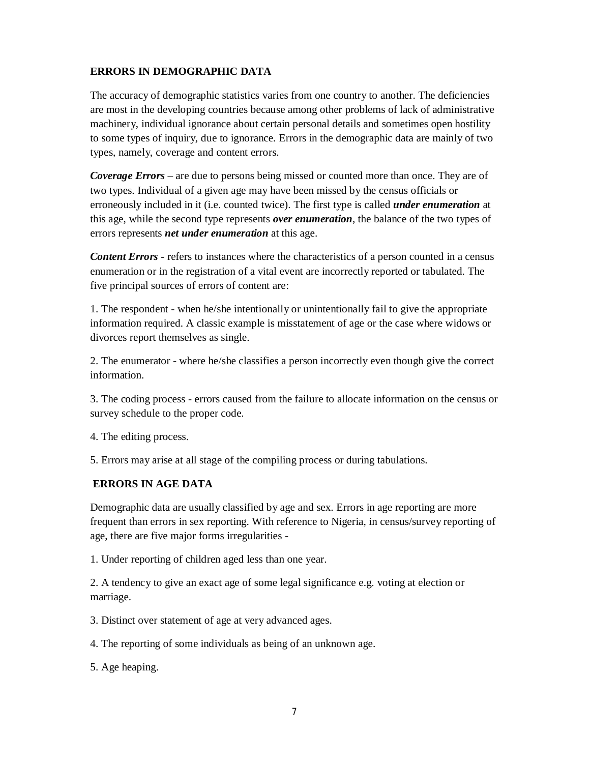## **ERRORS IN DEMOGRAPHIC DATA**

The accuracy of demographic statistics varies from one country to another. The deficiencies are most in the developing countries because among other problems of lack of administrative machinery, individual ignorance about certain personal details and sometimes open hostility to some types of inquiry, due to ignorance. Errors in the demographic data are mainly of two types, namely, coverage and content errors.

*Coverage Errors* – are due to persons being missed or counted more than once. They are of two types. Individual of a given age may have been missed by the census officials or erroneously included in it (i.e. counted twice). The first type is called *under enumeration* at this age, while the second type represents *over enumeration*, the balance of the two types of errors represents *net under enumeration* at this age.

*Content Errors* - refers to instances where the characteristics of a person counted in a census enumeration or in the registration of a vital event are incorrectly reported or tabulated. The five principal sources of errors of content are:

1. The respondent - when he/she intentionally or unintentionally fail to give the appropriate information required. A classic example is misstatement of age or the case where widows or divorces report themselves as single.

2. The enumerator - where he/she classifies a person incorrectly even though give the correct information.

3. The coding process - errors caused from the failure to allocate information on the census or survey schedule to the proper code.

4. The editing process.

5. Errors may arise at all stage of the compiling process or during tabulations.

## **ERRORS IN AGE DATA**

Demographic data are usually classified by age and sex. Errors in age reporting are more frequent than errors in sex reporting. With reference to Nigeria, in census/survey reporting of age, there are five major forms irregularities -

1. Under reporting of children aged less than one year.

2. A tendency to give an exact age of some legal significance e.g. voting at election or marriage.

3. Distinct over statement of age at very advanced ages.

4. The reporting of some individuals as being of an unknown age.

5. Age heaping.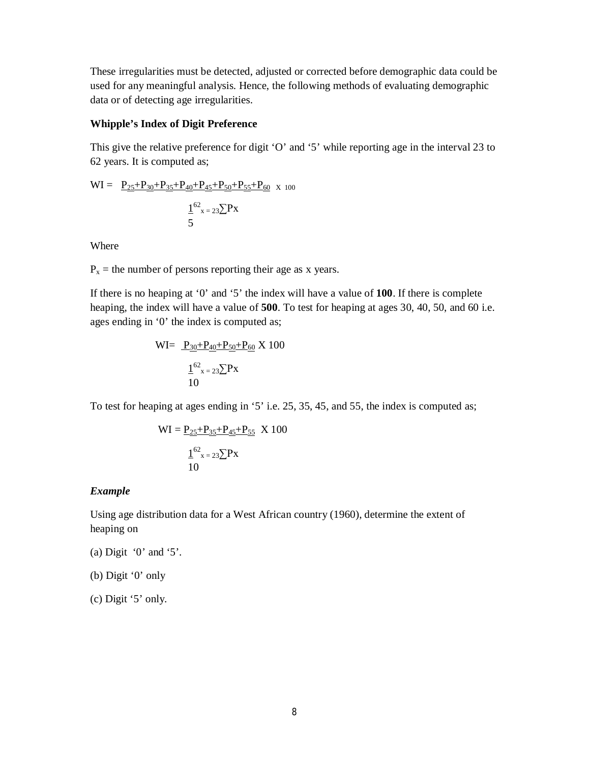These irregularities must be detected, adjusted or corrected before demographic data could be used for any meaningful analysis. Hence, the following methods of evaluating demographic data or of detecting age irregularities.

#### **Whipple's Index of Digit Preference**

This give the relative preference for digit 'O' and '5' while reporting age in the interval 23 to 62 years. It is computed as;

$$
WI = \underbrace{P_{25} + P_{30} + P_{35} + P_{40} + P_{45} + P_{50} + P_{55} + P_{60}}_{5} \times 100
$$
\n
$$
\underbrace{1^{62}_{x = 23} \sum_{s} Px}_{5}
$$

Where

 $P_x$  = the number of persons reporting their age as x years.

If there is no heaping at '0' and '5' the index will have a value of **100**. If there is complete heaping, the index will have a value of **500**. To test for heaping at ages 30, 40, 50, and 60 i.e. ages ending in '0' the index is computed as;

$$
WI = \frac{P_{30} + P_{40} + P_{50} + P_{60}}{1} \times 100
$$

$$
\frac{1}{10} \times 100
$$

To test for heaping at ages ending in '5' i.e. 25, 35, 45, and 55, the index is computed as;

$$
WI = \frac{P_{25} + P_{35} + P_{45} + P_{55}}{P_{x=23} \sum PX} \times 100
$$

$$
\frac{1}{10}^{62} x = 23 \sum PX
$$

#### *Example*

Using age distribution data for a West African country (1960), determine the extent of heaping on

- (a) Digit '0' and '5'.
- (b) Digit '0' only

(c) Digit '5' only.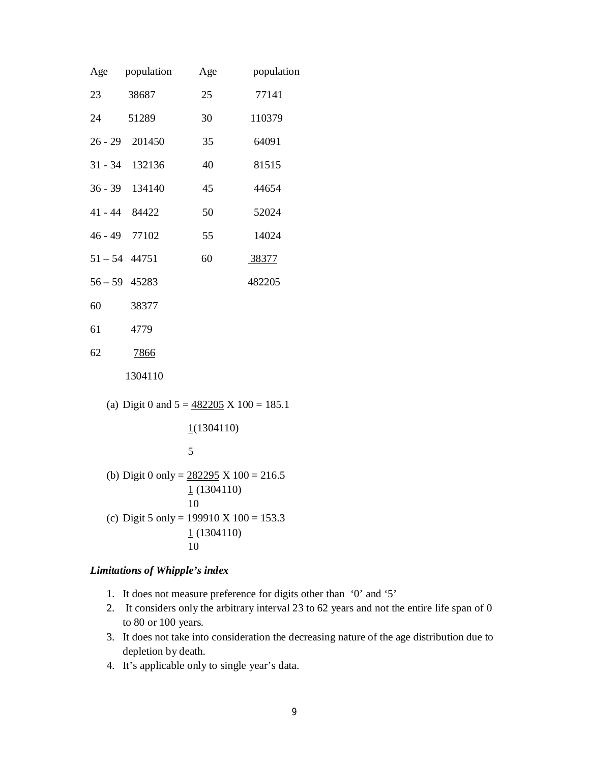| Age | population                                          | Age | population |
|-----|-----------------------------------------------------|-----|------------|
| 23  | 38687                                               | 25  | 77141      |
|     | 24 51289                                            | 30  | 110379     |
|     | 26 - 29 201450                                      | 35  | 64091      |
|     | 31 - 34 132136                                      | 40  | 81515      |
|     | 36 - 39 134140                                      | 45  | 44654      |
|     | 41 - 44 84422                                       | 50  | 52024      |
|     | 46 - 49 77102                                       | 55  | 14024      |
|     | $51 - 54$ 44751                                     | 60  | 38377      |
|     | $56 - 59$ 45283                                     |     | 482205     |
| 60  | 38377                                               |     |            |
| 61  | 4779                                                |     |            |
| 62  | 7866                                                |     |            |
|     | 1304110                                             |     |            |
|     | (a) Digit 0 and $5 = 482205 \text{ X } 100 = 185.1$ |     |            |

(a) Digit 0 and 
$$
5 = 482205 \times 100 = 185.1
$$

 $1(1304110)$ 

5

(b) Digit 0 only = 
$$
\frac{282295 \text{ X } 100 = 216.5}{1 (1304110)}
$$
  
10  
(c) Digit 5 only = 199910 X 100 = 153.3  
 $\frac{1}{1 (1304110)}$   
10

## *Limitations of Whipple's index*

- 1. It does not measure preference for digits other than '0' and '5'
- 2. It considers only the arbitrary interval 23 to 62 years and not the entire life span of 0 to 80 or 100 years.
- 3. It does not take into consideration the decreasing nature of the age distribution due to depletion by death.
- 4. It's applicable only to single year's data.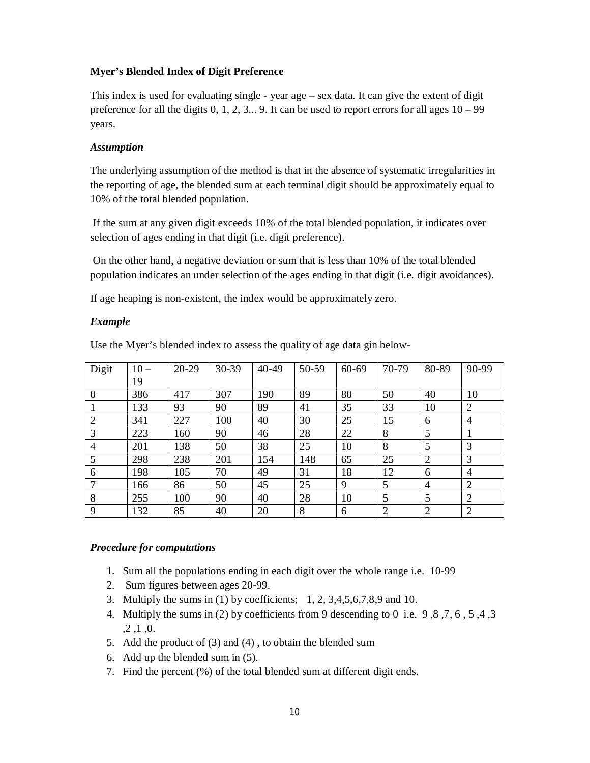## **Myer's Blended Index of Digit Preference**

This index is used for evaluating single - year age – sex data. It can give the extent of digit preference for all the digits  $0, 1, 2, 3...$  9. It can be used to report errors for all ages  $10 - 99$ years.

#### *Assumption*

The underlying assumption of the method is that in the absence of systematic irregularities in the reporting of age, the blended sum at each terminal digit should be approximately equal to 10% of the total blended population.

If the sum at any given digit exceeds 10% of the total blended population, it indicates over selection of ages ending in that digit (i.e. digit preference).

On the other hand, a negative deviation or sum that is less than 10% of the total blended population indicates an under selection of the ages ending in that digit (i.e. digit avoidances).

If age heaping is non-existent, the index would be approximately zero.

#### *Example*

| Digit          | $10-$ | $20 - 29$ | 30-39 | $40 - 49$ | 50-59 | 60-69 | 70-79          | 80-89          | 90-99          |
|----------------|-------|-----------|-------|-----------|-------|-------|----------------|----------------|----------------|
|                | 19    |           |       |           |       |       |                |                |                |
| $\Omega$       | 386   | 417       | 307   | 190       | 89    | 80    | 50             | 40             | 10             |
|                | 133   | 93        | 90    | 89        | 41    | 35    | 33             | 10             | $\overline{2}$ |
| $\overline{2}$ | 341   | 227       | 100   | 40        | 30    | 25    | 15             | 6              | $\overline{4}$ |
| 3              | 223   | 160       | 90    | 46        | 28    | 22    | 8              | 5              |                |
| 4              | 201   | 138       | 50    | 38        | 25    | 10    | 8              | 5              | 3              |
| 5              | 298   | 238       | 201   | 154       | 148   | 65    | 25             | $\overline{2}$ | 3              |
| 6              | 198   | 105       | 70    | 49        | 31    | 18    | 12             | 6              | $\overline{4}$ |
| 7              | 166   | 86        | 50    | 45        | 25    | 9     | 5              | $\overline{4}$ | $\overline{2}$ |
| 8              | 255   | 100       | 90    | 40        | 28    | 10    | 5              | 5              | $\overline{2}$ |
| 9              | 132   | 85        | 40    | 20        | 8     | 6     | $\overline{2}$ | $\overline{2}$ | $\overline{2}$ |

Use the Myer's blended index to assess the quality of age data gin below-

#### *Procedure for computations*

- 1. Sum all the populations ending in each digit over the whole range i.e. 10-99
- 2. Sum figures between ages 20-99.
- 3. Multiply the sums in (1) by coefficients; 1, 2, 3,4,5,6,7,8,9 and 10.
- 4. Multiply the sums in (2) by coefficients from 9 descending to 0 i.e. 9 ,8 ,7, 6 , 5 ,4 ,3 ,2 ,1 ,0.
- 5. Add the product of (3) and (4) , to obtain the blended sum
- 6. Add up the blended sum in (5).
- 7. Find the percent (%) of the total blended sum at different digit ends.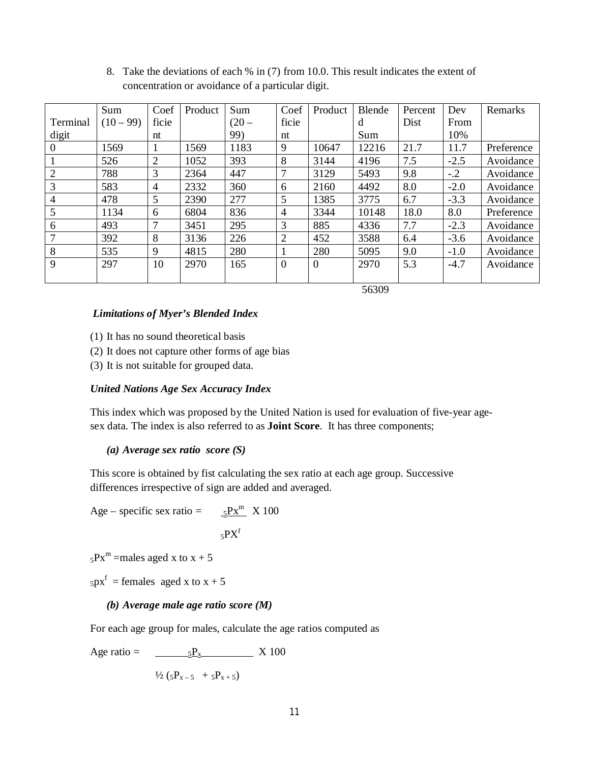|                | Sum       | Coef           | Product | Sum     | Coef           | Product  | Blende | Percent | Dev    | Remarks    |
|----------------|-----------|----------------|---------|---------|----------------|----------|--------|---------|--------|------------|
| Terminal       | $(10-99)$ | ficie          |         | $(20 -$ | ficie          |          | d      | Dist    | From   |            |
| digit          |           | nt             |         | 99)     | nt             |          | Sum    |         | 10%    |            |
| $\theta$       | 1569      | 1              | 1569    | 1183    | 9              | 10647    | 12216  | 21.7    | 11.7   | Preference |
|                | 526       | $\overline{2}$ | 1052    | 393     | 8              | 3144     | 4196   | 7.5     | $-2.5$ | Avoidance  |
| $\overline{2}$ | 788       | 3              | 2364    | 447     | 7              | 3129     | 5493   | 9.8     | $-.2$  | Avoidance  |
| 3              | 583       | 4              | 2332    | 360     | 6              | 2160     | 4492   | 8.0     | $-2.0$ | Avoidance  |
| 4              | 478       | 5              | 2390    | 277     | 5              | 1385     | 3775   | 6.7     | $-3.3$ | Avoidance  |
| 5              | 1134      | 6              | 6804    | 836     | $\overline{4}$ | 3344     | 10148  | 18.0    | 8.0    | Preference |
| 6              | 493       | 7              | 3451    | 295     | 3              | 885      | 4336   | 7.7     | $-2.3$ | Avoidance  |
| 7              | 392       | 8              | 3136    | 226     | $\overline{2}$ | 452      | 3588   | 6.4     | $-3.6$ | Avoidance  |
| 8              | 535       | 9              | 4815    | 280     |                | 280      | 5095   | 9.0     | $-1.0$ | Avoidance  |
| 9              | 297       | 10             | 2970    | 165     | $\overline{0}$ | $\theta$ | 2970   | 5.3     | $-4.7$ | Avoidance  |
|                |           |                |         |         |                |          |        |         |        |            |

8. Take the deviations of each % in (7) from 10.0. This result indicates the extent of concentration or avoidance of a particular digit.

56309

#### *Limitations of Myer's Blended Index*

- (1) It has no sound theoretical basis
- (2) It does not capture other forms of age bias
- (3) It is not suitable for grouped data.

#### *United Nations Age Sex Accuracy Index*

This index which was proposed by the United Nation is used for evaluation of five-year agesex data. The index is also referred to as **Joint Score**. It has three components;

#### *(a) Average sex ratio score (S)*

This score is obtained by fist calculating the sex ratio at each age group. Successive differences irrespective of sign are added and averaged.

Age – specific sex ratio  $=$  $5PX^m$  X 100  $5PX<sup>f</sup>$ 

 $5Px^m$  =males aged x to  $x + 5$ 

 $5px^{f}$  = females aged x to x + 5

#### *(b) Average male age ratio score (M)*

For each age group for males, calculate the age ratios computed as

Age ratio = 
$$
\frac{5P_x}{\sqrt{2} (5P_{x-5} + 5P_{x+5})}
$$
 X 100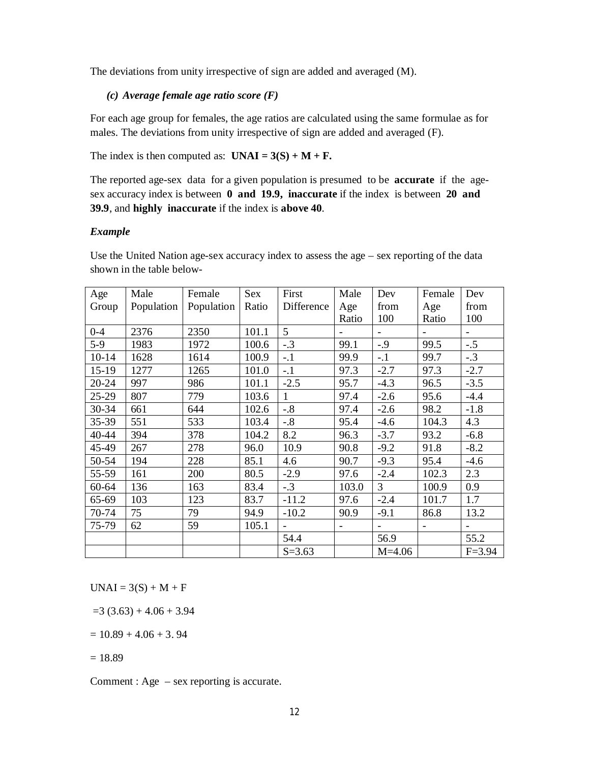The deviations from unity irrespective of sign are added and averaged (M).

#### *(c) Average female age ratio score (F)*

For each age group for females, the age ratios are calculated using the same formulae as for males. The deviations from unity irrespective of sign are added and averaged (F).

The index is then computed as:  $UNAI = 3(S) + M + F$ .

The reported age-sex data for a given population is presumed to be **accurate** if the agesex accuracy index is between **0 and 19.9, inaccurate** if the index is between **20 and 39.9**, and **highly inaccurate** if the index is **above 40**.

#### *Example*

Use the United Nation age-sex accuracy index to assess the age – sex reporting of the data shown in the table below-

| Age     | Male       | Female     | Sex   | First        | Male  | Dev                      | Female                   | Dev                      |
|---------|------------|------------|-------|--------------|-------|--------------------------|--------------------------|--------------------------|
| Group   | Population | Population | Ratio | Difference   | Age   | from                     | Age                      | from                     |
|         |            |            |       |              | Ratio | 100                      | Ratio                    | 100                      |
| $0 - 4$ | 2376       | 2350       | 101.1 | 5            |       | $\overline{\phantom{a}}$ | $\overline{\phantom{a}}$ | $\overline{\phantom{0}}$ |
| $5-9$   | 1983       | 1972       | 100.6 | $-.3$        | 99.1  | $-0.9$                   | 99.5                     | $-.5$                    |
| $10-14$ | 1628       | 1614       | 100.9 | $-.1$        | 99.9  | $-.1$                    | 99.7                     | $-.3$                    |
| $15-19$ | 1277       | 1265       | 101.0 | $-.1$        | 97.3  | $-2.7$                   | 97.3                     | $-2.7$                   |
| 20-24   | 997        | 986        | 101.1 | $-2.5$       | 95.7  | $-4.3$                   | 96.5                     | $-3.5$                   |
| $25-29$ | 807        | 779        | 103.6 | $\mathbf{1}$ | 97.4  | $-2.6$                   | 95.6                     | $-4.4$                   |
| 30-34   | 661        | 644        | 102.6 | $-.8$        | 97.4  | $-2.6$                   | 98.2                     | $-1.8$                   |
| 35-39   | 551        | 533        | 103.4 | $-.8$        | 95.4  | $-4.6$                   | 104.3                    | 4.3                      |
| 40-44   | 394        | 378        | 104.2 | 8.2          | 96.3  | $-3.7$                   | 93.2                     | $-6.8$                   |
| 45-49   | 267        | 278        | 96.0  | 10.9         | 90.8  | $-9.2$                   | 91.8                     | $-8.2$                   |
| 50-54   | 194        | 228        | 85.1  | 4.6          | 90.7  | $-9.3$                   | 95.4                     | $-4.6$                   |
| 55-59   | 161        | 200        | 80.5  | $-2.9$       | 97.6  | $-2.4$                   | 102.3                    | 2.3                      |
| 60-64   | 136        | 163        | 83.4  | $-.3$        | 103.0 | $\overline{3}$           | 100.9                    | 0.9                      |
| 65-69   | 103        | 123        | 83.7  | $-11.2$      | 97.6  | $-2.4$                   | 101.7                    | 1.7                      |
| 70-74   | 75         | 79         | 94.9  | $-10.2$      | 90.9  | $-9.1$                   | 86.8                     | 13.2                     |
| 75-79   | 62         | 59         | 105.1 |              |       |                          | $\overline{\phantom{0}}$ |                          |
|         |            |            |       | 54.4         |       | 56.9                     |                          | 55.2                     |
|         |            |            |       | $S = 3.63$   |       | $M=4.06$                 |                          | $F = 3.94$               |

 $UNAI = 3(S) + M + F$ 

 $=3$  (3.63) + 4.06 + 3.94

 $= 10.89 + 4.06 + 3.94$ 

 $= 18.89$ 

Comment : Age – sex reporting is accurate.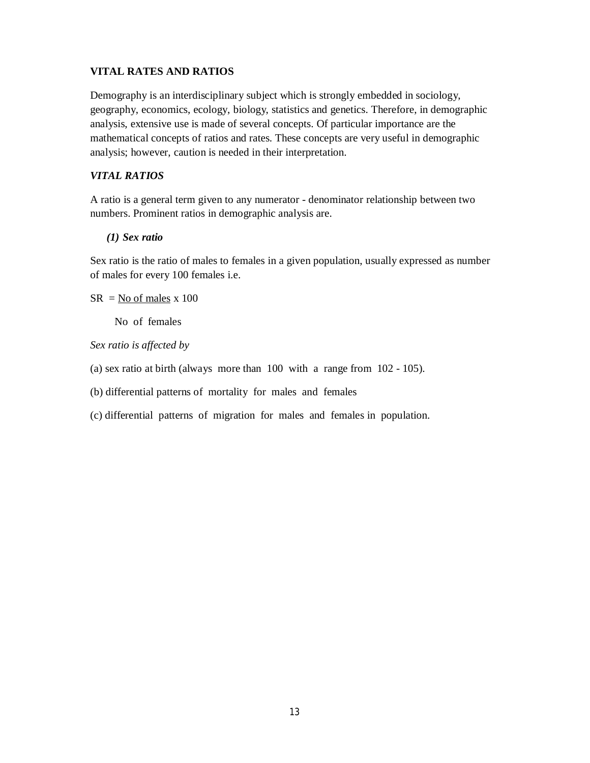## **VITAL RATES AND RATIOS**

Demography is an interdisciplinary subject which is strongly embedded in sociology, geography, economics, ecology, biology, statistics and genetics. Therefore, in demographic analysis, extensive use is made of several concepts. Of particular importance are the mathematical concepts of ratios and rates. These concepts are very useful in demographic analysis; however, caution is needed in their interpretation.

## *VITAL RATIOS*

A ratio is a general term given to any numerator - denominator relationship between two numbers. Prominent ratios in demographic analysis are.

### *(1) Sex ratio*

Sex ratio is the ratio of males to females in a given population, usually expressed as number of males for every 100 females i.e.

 $SR = No$  of males x 100

No of females

*Sex ratio is affected by* 

- (a) sex ratio at birth (always more than 100 with a range from 102 105).
- (b) differential patterns of mortality for males and females
- (c) differential patterns of migration for males and females in population.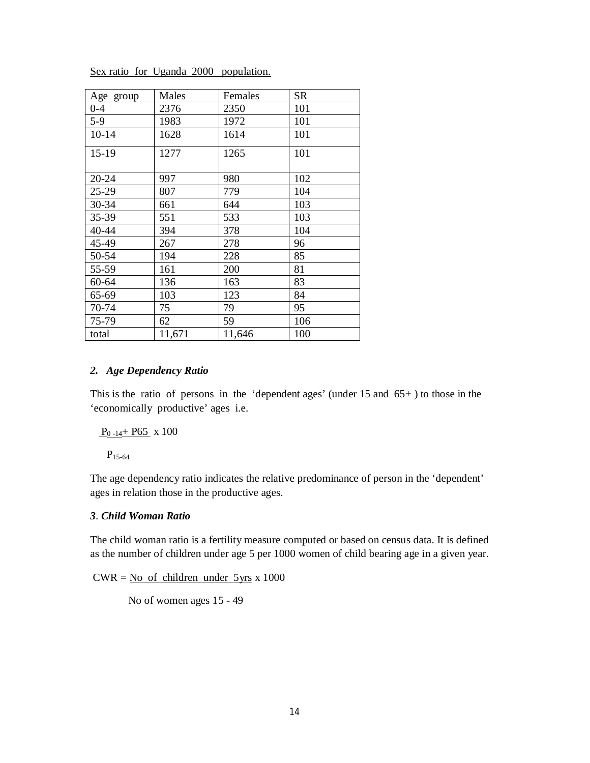| Age group | Males  | Females | <b>SR</b> |
|-----------|--------|---------|-----------|
| $0 - 4$   | 2376   | 2350    | 101       |
| $5-9$     | 1983   | 1972    | 101       |
| $10 - 14$ | 1628   | 1614    | 101       |
| 15-19     | 1277   | 1265    | 101       |
| 20-24     | 997    | 980     | 102       |
| 25-29     | 807    | 779     | 104       |
| 30-34     | 661    | 644     | 103       |
| 35-39     | 551    | 533     | 103       |
| 40-44     | 394    | 378     | 104       |
| 45-49     | 267    | 278     | 96        |
| 50-54     | 194    | 228     | 85        |
| 55-59     | 161    | 200     | 81        |
| 60-64     | 136    | 163     | 83        |
| 65-69     | 103    | 123     | 84        |
| 70-74     | 75     | 79      | 95        |
| 75-79     | 62     | 59      | 106       |
| total     | 11,671 | 11,646  | 100       |

Sex ratio for Uganda 2000 population.

#### *2. Age Dependency Ratio*

This is the ratio of persons in the 'dependent ages' (under  $15$  and  $65+$ ) to those in the 'economically productive' ages i.e.

 $P_{0-14}$ + P65 x 100

 $P_{15-64}$ 

The age dependency ratio indicates the relative predominance of person in the 'dependent' ages in relation those in the productive ages.

## *3*. *Child Woman Ratio*

The child woman ratio is a fertility measure computed or based on census data. It is defined as the number of children under age 5 per 1000 women of child bearing age in a given year.

 $CWR = No$  of children under  $5yrs \times 1000$ 

No of women ages 15 - 49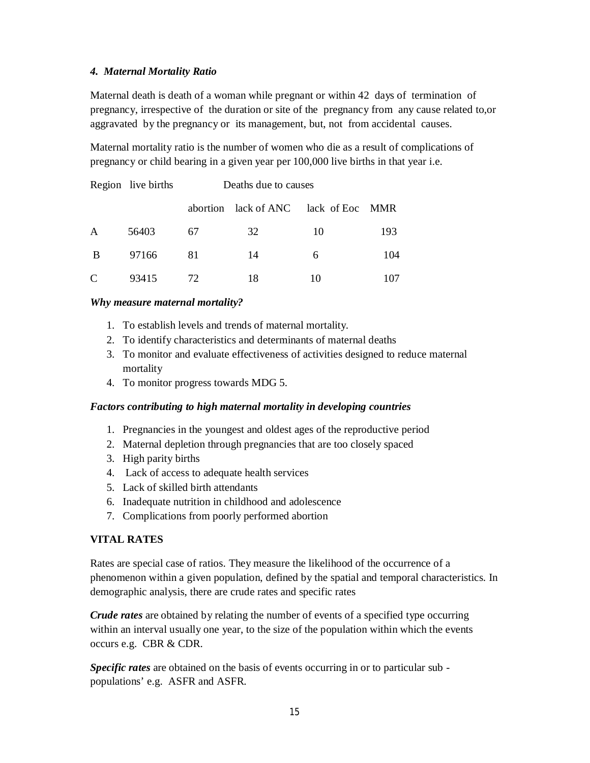## *4. Maternal Mortality Ratio*

Maternal death is death of a woman while pregnant or within 42 days of termination of pregnancy, irrespective of the duration or site of the pregnancy from any cause related to,or aggravated by the pregnancy or its management, but, not from accidental causes.

Maternal mortality ratio is the number of women who die as a result of complications of pregnancy or child bearing in a given year per 100,000 live births in that year i.e.

|   | Region live births | Deaths due to causes |                                  |    |       |  |  |  |
|---|--------------------|----------------------|----------------------------------|----|-------|--|--|--|
|   |                    |                      | abortion lack of ANC lack of Eoc |    | - MMR |  |  |  |
| A | 56403              | 67                   | 32                               | 10 | 193   |  |  |  |
| B | 97166              | 81                   | 14                               | 6  | 104   |  |  |  |
| C | 93415              | 72                   | 18                               | 10 |       |  |  |  |

#### *Why measure maternal mortality?*

- 1. To establish levels and trends of maternal mortality.
- 2. To identify characteristics and determinants of maternal deaths
- 3. To monitor and evaluate effectiveness of activities designed to reduce maternal mortality
- 4. To monitor progress towards MDG 5.

#### *Factors contributing to high maternal mortality in developing countries*

- 1. Pregnancies in the youngest and oldest ages of the reproductive period
- 2. Maternal depletion through pregnancies that are too closely spaced
- 3. High parity births
- 4. Lack of access to adequate health services
- 5. Lack of skilled birth attendants
- 6. Inadequate nutrition in childhood and adolescence
- 7. Complications from poorly performed abortion

## **VITAL RATES**

Rates are special case of ratios. They measure the likelihood of the occurrence of a phenomenon within a given population, defined by the spatial and temporal characteristics. In demographic analysis, there are crude rates and specific rates

*Crude rates* are obtained by relating the number of events of a specified type occurring within an interval usually one year, to the size of the population within which the events occurs e.g. CBR & CDR.

*Specific rates* are obtained on the basis of events occurring in or to particular sub populations' e.g. ASFR and ASFR.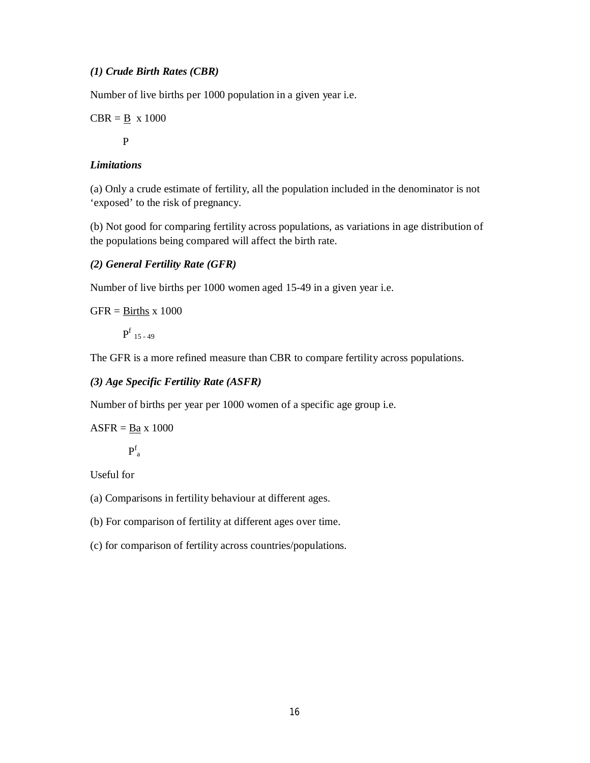## *(1) Crude Birth Rates (CBR)*

Number of live births per 1000 population in a given year i.e.

$$
CBR = \underline{B} \times 1000
$$

P

# *Limitations*

(a) Only a crude estimate of fertility, all the population included in the denominator is not 'exposed' to the risk of pregnancy.

(b) Not good for comparing fertility across populations, as variations in age distribution of the populations being compared will affect the birth rate.

## *(2) General Fertility Rate (GFR)*

Number of live births per 1000 women aged 15-49 in a given year i.e.

 $GFR = \underline{Births}$  x 1000

 $\mathbf{P}^\mathrm{f}$  15 - 49

The GFR is a more refined measure than CBR to compare fertility across populations.

## *(3) Age Specific Fertility Rate (ASFR)*

Number of births per year per 1000 women of a specific age group i.e.

 $ASFR = Ba \times 1000$ 

 $P_a^f$ 

Useful for

- (a) Comparisons in fertility behaviour at different ages.
- (b) For comparison of fertility at different ages over time.
- (c) for comparison of fertility across countries/populations.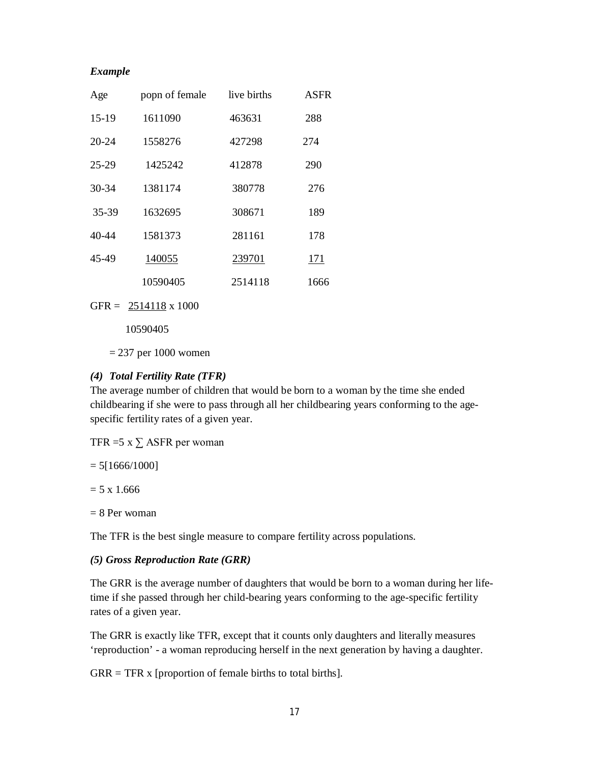#### *Example*

| Age       | popn of female | live births | <b>ASFR</b> |
|-----------|----------------|-------------|-------------|
| $15-19$   | 1611090        | 463631      | 288         |
| $20 - 24$ | 1558276        | 427298      | 274         |
| 25-29     | 1425242        | 412878      | 290         |
| 30-34     | 1381174        | 380778      | 276         |
| 35-39     | 1632695        | 308671      | 189         |
| $40 - 44$ | 1581373        | 281161      | 178         |
| 45-49     | 140055         | 239701      | 171         |
|           | 10590405       | 2514118     | 1666        |

GFR =  $2514118 \times 1000$ 

10590405

 $= 237$  per 1000 women

## *(4) Total Fertility Rate (TFR)*

The average number of children that would be born to a woman by the time she ended childbearing if she were to pass through all her childbearing years conforming to the agespecific fertility rates of a given year.

TFR =5  $x \sum$  ASFR per woman

 $= 5[1666/1000]$ 

 $= 5 \times 1.666$ 

 $= 8$  Per woman

The TFR is the best single measure to compare fertility across populations.

#### *(5) Gross Reproduction Rate (GRR)*

The GRR is the average number of daughters that would be born to a woman during her lifetime if she passed through her child-bearing years conforming to the age-specific fertility rates of a given year.

The GRR is exactly like TFR, except that it counts only daughters and literally measures 'reproduction' - a woman reproducing herself in the next generation by having a daughter.

 $GRR = TFR \times [proportion of female births to total births].$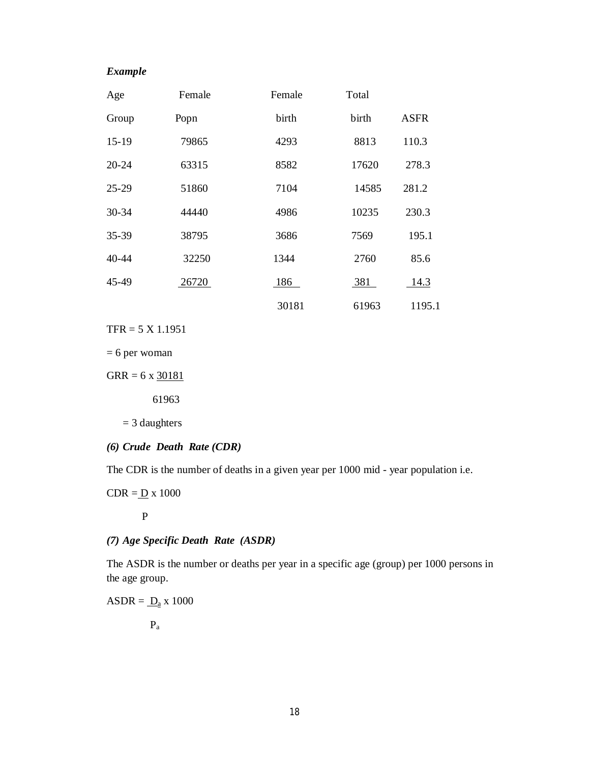## *Example*

| Age       | Female | Female | Total |             |
|-----------|--------|--------|-------|-------------|
| Group     | Popn   | birth  | birth | <b>ASFR</b> |
| $15-19$   | 79865  | 4293   | 8813  | 110.3       |
| $20 - 24$ | 63315  | 8582   | 17620 | 278.3       |
| $25 - 29$ | 51860  | 7104   | 14585 | 281.2       |
| $30 - 34$ | 44440  | 4986   | 10235 | 230.3       |
| 35-39     | 38795  | 3686   | 7569  | 195.1       |
| $40 - 44$ | 32250  | 1344   | 2760  | 85.6        |
| 45-49     | 26720  | 186    | 381   | 14.3        |
|           |        | 30181  | 61963 | 1195.1      |

TFR = 5 X 1.1951

= 6 per woman

 $GRR = 6 \times \frac{30181}{1000}$ 

61963

= 3 daughters

*(6) Crude Death Rate (CDR)*

The CDR is the number of deaths in a given year per 1000 mid - year population i.e.

 $CDR = D x 1000$ 

P

*(7) Age Specific Death Rate (ASDR)*

The ASDR is the number or deaths per year in a specific age (group) per 1000 persons in the age group.

 $ASDR = \underline{D}_a$  x 1000

Pa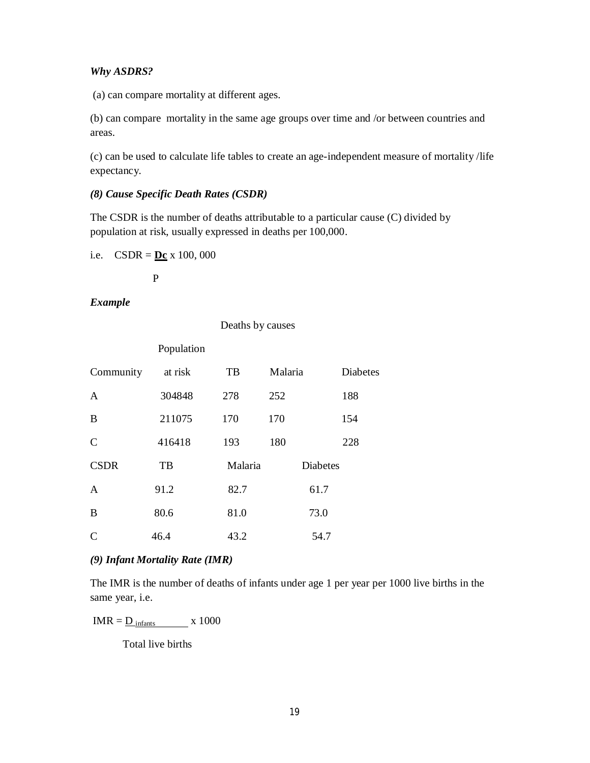#### *Why ASDRS?*

(a) can compare mortality at different ages.

(b) can compare mortality in the same age groups over time and /or between countries and areas.

(c) can be used to calculate life tables to create an age-independent measure of mortality /life expectancy.

#### *(8) Cause Specific Death Rates (CSDR)*

The CSDR is the number of deaths attributable to a particular cause (C) divided by population at risk, usually expressed in deaths per 100,000.

Deaths by causes

i.e.  $CSDR = \underline{Dc} x 100,000$ 

P

## *Example*

|                | Population |         |                 |                 |
|----------------|------------|---------|-----------------|-----------------|
| Community      | at risk    | TB      | Malaria         | <b>Diabetes</b> |
| $\mathbf{A}$   | 304848     | 278     | 252             | 188             |
| B              | 211075     | 170     | 170             | 154             |
| $\mathsf{C}$   | 416418     | 193     | 180             | 228             |
| <b>CSDR</b>    | TB         | Malaria | <b>Diabetes</b> |                 |
| $\overline{A}$ | 91.2       | 82.7    | 61.7            |                 |
| B              | 80.6       | 81.0    | 73.0            |                 |
| $\mathcal{C}$  | 46.4       | 43.2    | 54.7            |                 |

#### *(9) Infant Mortality Rate (IMR)*

The IMR is the number of deaths of infants under age 1 per year per 1000 live births in the same year, i.e.

 $IMR = \underline{D_{infants}}$  x 1000

Total live births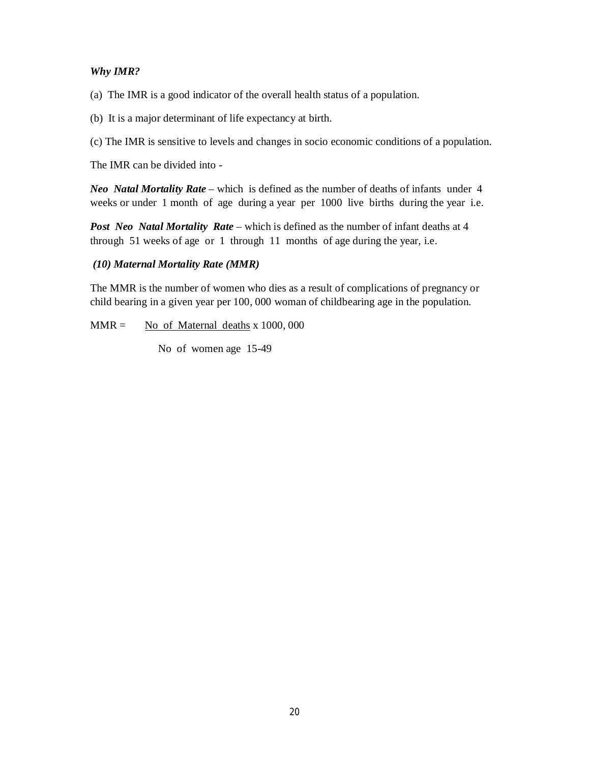## *Why IMR?*

(a) The IMR is a good indicator of the overall health status of a population.

(b) It is a major determinant of life expectancy at birth.

(c) The IMR is sensitive to levels and changes in socio economic conditions of a population.

The IMR can be divided into -

*Neo Natal Mortality Rate* – which is defined as the number of deaths of infants under 4 weeks or under 1 month of age during a year per 1000 live births during the year i.e.

*Post Neo Natal Mortality Rate* – which is defined as the number of infant deaths at 4 through 51 weeks of age or 1 through 11 months of age during the year, i.e.

## *(10) Maternal Mortality Rate (MMR)*

The MMR is the number of women who dies as a result of complications of pregnancy or child bearing in a given year per 100, 000 woman of childbearing age in the population.

 $MMR =$  No of Maternal deaths x 1000, 000

No of women age 15-49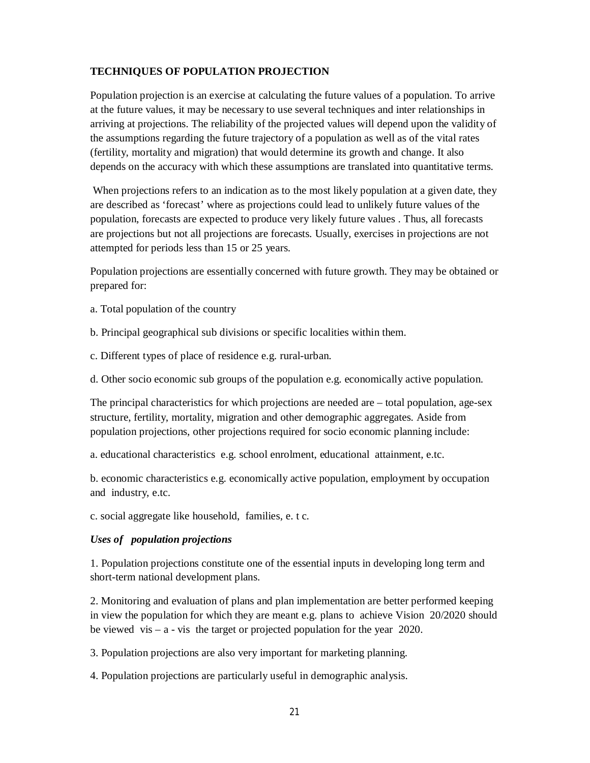## **TECHNIQUES OF POPULATION PROJECTION**

Population projection is an exercise at calculating the future values of a population. To arrive at the future values, it may be necessary to use several techniques and inter relationships in arriving at projections. The reliability of the projected values will depend upon the validity of the assumptions regarding the future trajectory of a population as well as of the vital rates (fertility, mortality and migration) that would determine its growth and change. It also depends on the accuracy with which these assumptions are translated into quantitative terms.

When projections refers to an indication as to the most likely population at a given date, they are described as 'forecast' where as projections could lead to unlikely future values of the population, forecasts are expected to produce very likely future values . Thus, all forecasts are projections but not all projections are forecasts. Usually, exercises in projections are not attempted for periods less than 15 or 25 years.

Population projections are essentially concerned with future growth. They may be obtained or prepared for:

- a. Total population of the country
- b. Principal geographical sub divisions or specific localities within them.
- c. Different types of place of residence e.g. rural-urban.
- d. Other socio economic sub groups of the population e.g. economically active population.

The principal characteristics for which projections are needed are – total population, age-sex structure, fertility, mortality, migration and other demographic aggregates. Aside from population projections, other projections required for socio economic planning include:

a. educational characteristics e.g. school enrolment, educational attainment, e.tc.

b. economic characteristics e.g. economically active population, employment by occupation and industry, e.tc.

c. social aggregate like household, families, e. t c.

## *Uses of population projections*

1. Population projections constitute one of the essential inputs in developing long term and short-term national development plans.

2. Monitoring and evaluation of plans and plan implementation are better performed keeping in view the population for which they are meant e.g. plans to achieve Vision 20/2020 should be viewed vis – a - vis the target or projected population for the year 2020.

3. Population projections are also very important for marketing planning.

4. Population projections are particularly useful in demographic analysis.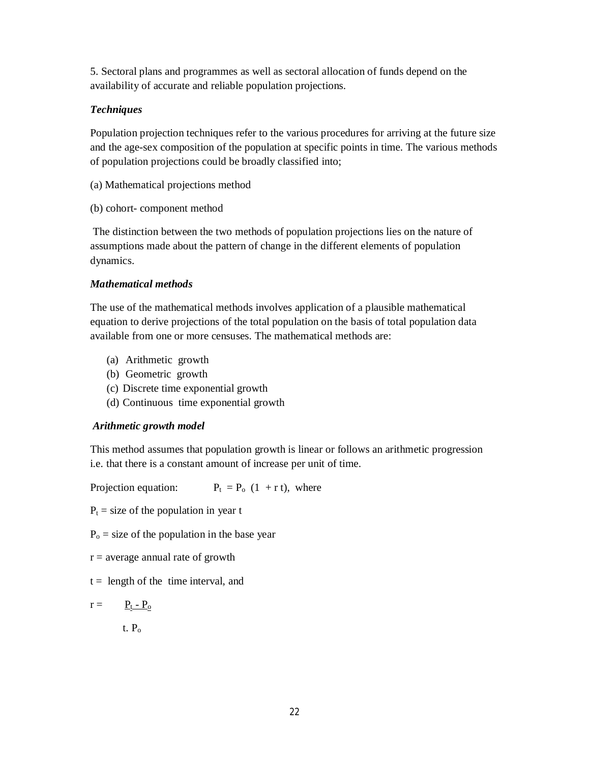5. Sectoral plans and programmes as well as sectoral allocation of funds depend on the availability of accurate and reliable population projections.

## *Techniques*

Population projection techniques refer to the various procedures for arriving at the future size and the age-sex composition of the population at specific points in time. The various methods of population projections could be broadly classified into;

- (a) Mathematical projections method
- (b) cohort- component method

The distinction between the two methods of population projections lies on the nature of assumptions made about the pattern of change in the different elements of population dynamics.

## *Mathematical methods*

The use of the mathematical methods involves application of a plausible mathematical equation to derive projections of the total population on the basis of total population data available from one or more censuses. The mathematical methods are:

- (a) Arithmetic growth
- (b) Geometric growth
- (c) Discrete time exponential growth
- (d) Continuous time exponential growth

# *Arithmetic growth model*

This method assumes that population growth is linear or follows an arithmetic progression i.e. that there is a constant amount of increase per unit of time.

Projection equation:  $P_t = P_o (1 + r t)$ , where

 $P_t$  = size of the population in year t

 $P<sub>o</sub>$  = size of the population in the base year

 $r =$  average annual rate of growth

 $t =$  length of the time interval, and

 $r = \underline{P_t - P_o}$ 

t.  $P_0$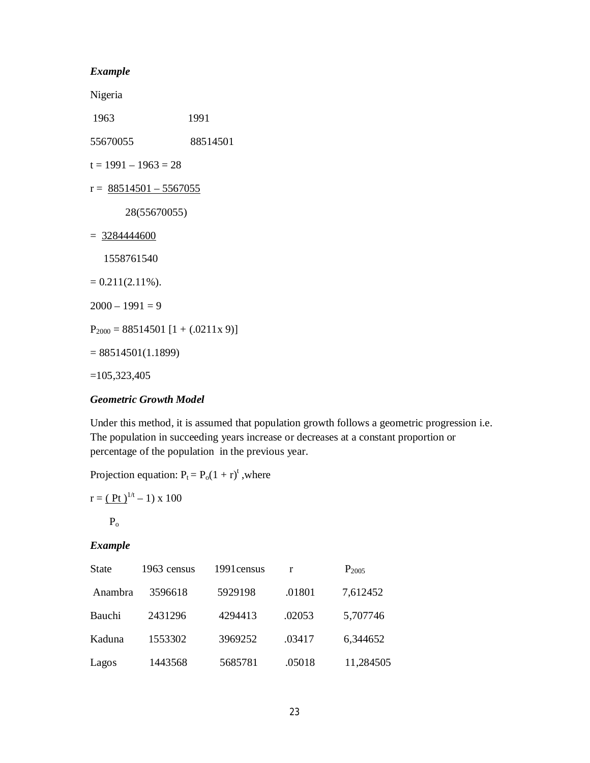#### *Example*

Nigeria

1963 1991

55670055 88514501

 $t = 1991 - 1963 = 28$ 

 $r = \frac{88514501 - 5567055}{r}$ 

28(55670055)

 $= 3284444600$ 

1558761540

- $= 0.211(2.11\%).$
- $2000 1991 = 9$

 $P_{2000} = 88514501 [1 + (.0211x 9)]$ 

 $= 88514501(1.1899)$ 

=105,323,405

#### *Geometric Growth Model*

Under this method, it is assumed that population growth follows a geometric progression i.e. The population in succeeding years increase or decreases at a constant proportion or percentage of the population in the previous year.

Projection equation:  $P_t = P_o(1 + r)^t$ , where

$$
r = \left(\frac{Pt}{\mu}\right)^{1/t} - 1) \ge 100
$$

 $P<sub>o</sub>$ 

#### *Example*

| <b>State</b> | 1963 census | 1991 census | r      | $P_{2005}$ |
|--------------|-------------|-------------|--------|------------|
| Anambra      | 3596618     | 5929198     | .01801 | 7,612452   |
| Bauchi       | 2431296     | 4294413     | .02053 | 5,707746   |
| Kaduna       | 1553302     | 3969252     | .03417 | 6,344652   |
| Lagos        | 1443568     | 5685781     | .05018 | 11,284505  |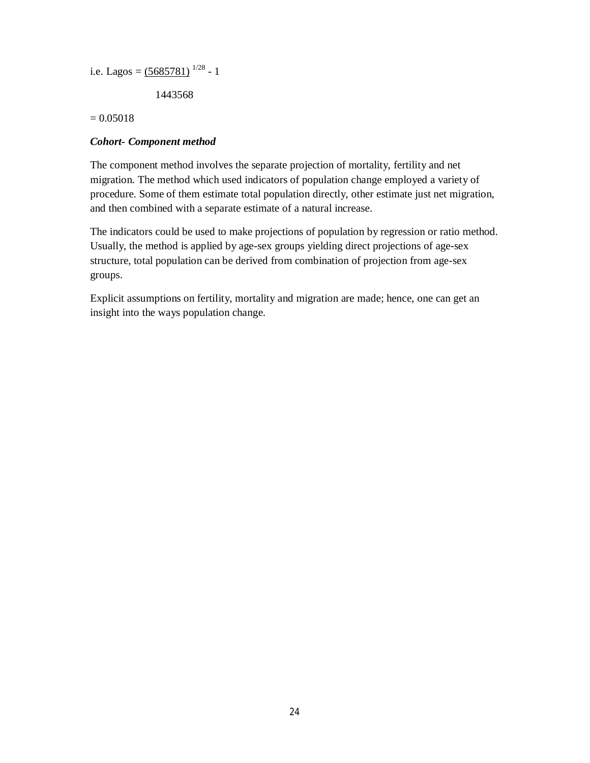```
i.e. Lagos = (5685781)^{1/28} - 1
```
1443568

 $= 0.05018$ 

## *Cohort- Component method*

The component method involves the separate projection of mortality, fertility and net migration. The method which used indicators of population change employed a variety of procedure. Some of them estimate total population directly, other estimate just net migration, and then combined with a separate estimate of a natural increase.

The indicators could be used to make projections of population by regression or ratio method. Usually, the method is applied by age-sex groups yielding direct projections of age-sex structure, total population can be derived from combination of projection from age-sex groups.

Explicit assumptions on fertility, mortality and migration are made; hence, one can get an insight into the ways population change.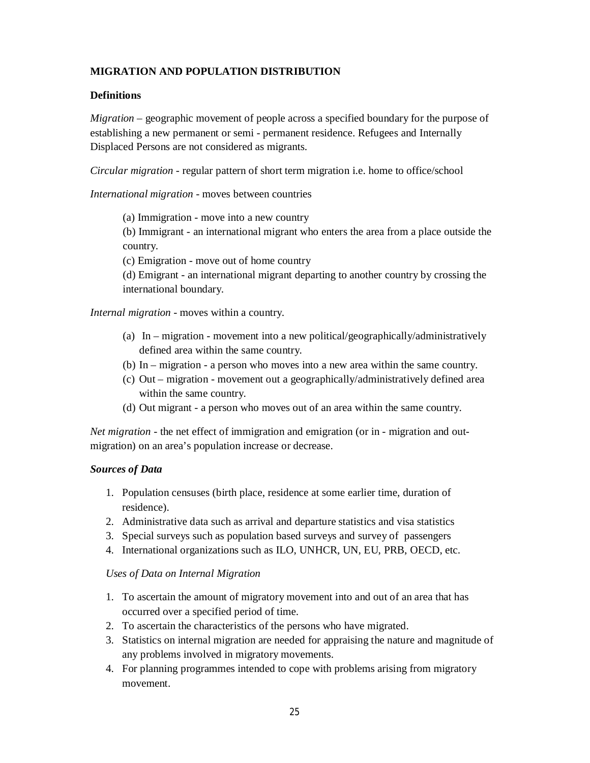## **MIGRATION AND POPULATION DISTRIBUTION**

## **Definitions**

*Migration* – geographic movement of people across a specified boundary for the purpose of establishing a new permanent or semi - permanent residence. Refugees and Internally Displaced Persons are not considered as migrants.

*Circular migration* - regular pattern of short term migration i.e. home to office/school

*International migration* - moves between countries

(a) Immigration - move into a new country

(b) Immigrant - an international migrant who enters the area from a place outside the country.

(c) Emigration - move out of home country

(d) Emigrant - an international migrant departing to another country by crossing the international boundary.

*Internal migration* - moves within a country.

- (a) In migration movement into a new political/geographically/administratively defined area within the same country.
- (b) In migration a person who moves into a new area within the same country.
- (c) Out migration movement out a geographically/administratively defined area within the same country.
- (d) Out migrant a person who moves out of an area within the same country.

*Net migration* - the net effect of immigration and emigration (or in - migration and outmigration) on an area's population increase or decrease.

## *Sources of Data*

- 1. Population censuses (birth place, residence at some earlier time, duration of residence).
- 2. Administrative data such as arrival and departure statistics and visa statistics
- 3. Special surveys such as population based surveys and survey of passengers
- 4. International organizations such as ILO, UNHCR, UN, EU, PRB, OECD, etc.

#### *Uses of Data on Internal Migration*

- 1. To ascertain the amount of migratory movement into and out of an area that has occurred over a specified period of time.
- 2. To ascertain the characteristics of the persons who have migrated.
- 3. Statistics on internal migration are needed for appraising the nature and magnitude of any problems involved in migratory movements.
- 4. For planning programmes intended to cope with problems arising from migratory movement.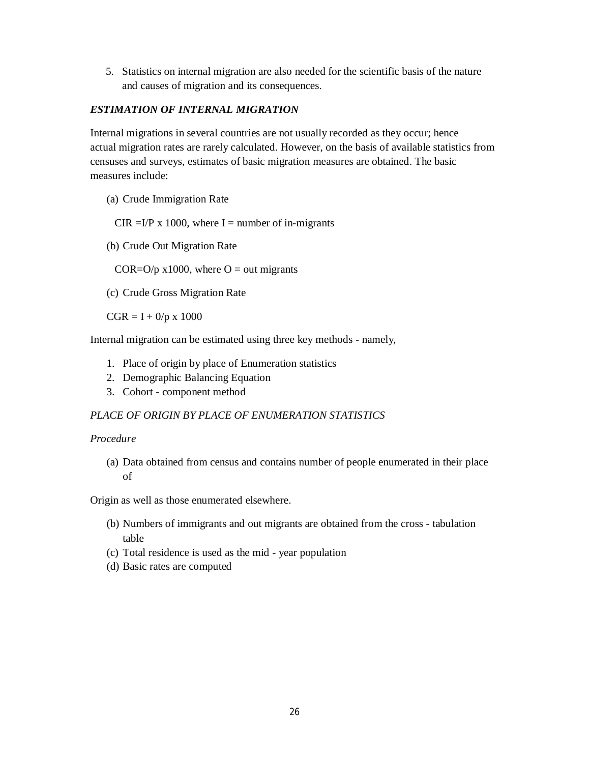5. Statistics on internal migration are also needed for the scientific basis of the nature and causes of migration and its consequences.

## *ESTIMATION OF INTERNAL MIGRATION*

Internal migrations in several countries are not usually recorded as they occur; hence actual migration rates are rarely calculated. However, on the basis of available statistics from censuses and surveys, estimates of basic migration measures are obtained. The basic measures include:

(a) Crude Immigration Rate

CIR = $I/P$  x 1000, where I = number of in-migrants

(b) Crude Out Migration Rate

COR= $O/p$  x1000, where  $O = out$  migrants

(c) Crude Gross Migration Rate

 $CGR = I + 0/p \times 1000$ 

Internal migration can be estimated using three key methods - namely,

- 1. Place of origin by place of Enumeration statistics
- 2. Demographic Balancing Equation
- 3. Cohort component method

## *PLACE OF ORIGIN BY PLACE OF ENUMERATION STATISTICS*

#### *Procedure*

(a) Data obtained from census and contains number of people enumerated in their place of

Origin as well as those enumerated elsewhere.

- (b) Numbers of immigrants and out migrants are obtained from the cross tabulation table
- (c) Total residence is used as the mid year population
- (d) Basic rates are computed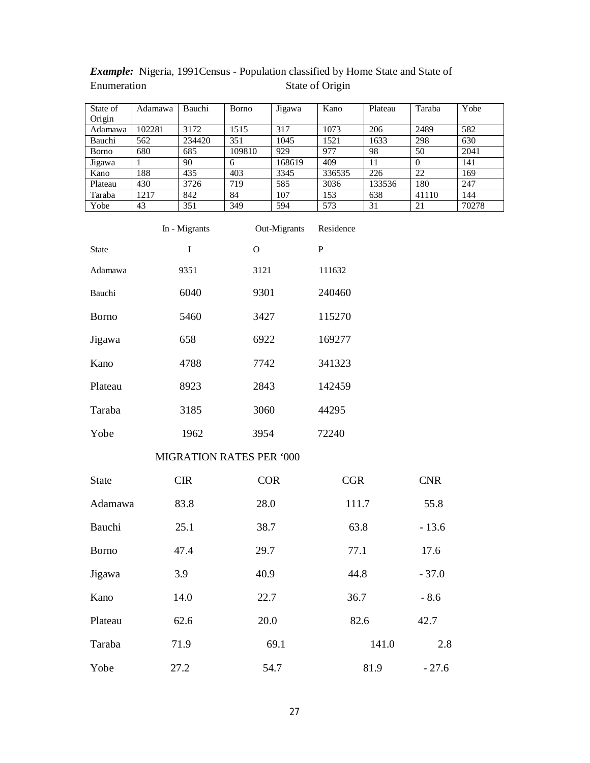| State of      | Adamawa | Bauchi | <b>B</b> orno | Jigawa | Kano   | Plateau | Taraba   | Yobe  |
|---------------|---------|--------|---------------|--------|--------|---------|----------|-------|
| Origin        |         |        |               |        |        |         |          |       |
| Adamawa       | 102281  | 3172   | 1515          | 317    | 1073   | 206     | 2489     | 582   |
| Bauchi        | 562     | 234420 | 351           | 1045   | 1521   | 1633    | 298      | 630   |
| <b>B</b> orno | 680     | 685    | 109810        | 929    | 977    | 98      | 50       | 2041  |
| Jigawa        |         | 90     | 6             | 168619 | 409    | 11      | $\Omega$ | 141   |
| Kano          | 188     | 435    | 403           | 3345   | 336535 | 226     | 22       | 169   |
| Plateau       | 430     | 3726   | 719           | 585    | 3036   | 133536  | 180      | 247   |
| Taraba        | 1217    | 842    | 84            | 107    | 153    | 638     | 41110    | 144   |
| Yobe          | 43      | 351    | 349           | 594    | 573    | 31      | 21       | 70278 |

# *Example:* Nigeria, 1991Census - Population classified by Home State and State of Enumeration State of Origin

|                                 | In - Migrants | Out-Migrants | Residence |  |
|---------------------------------|---------------|--------------|-----------|--|
| <b>State</b>                    | T             | $\Omega$     | P         |  |
| Adamawa                         | 9351          | 3121         | 111632    |  |
| Bauchi                          | 6040          | 9301         | 240460    |  |
| <b>Borno</b>                    | 5460          | 3427         | 115270    |  |
| Jigawa                          | 658           | 6922         | 169277    |  |
| Kano                            | 4788          | 7742         | 341323    |  |
| Plateau                         | 8923          | 2843         | 142459    |  |
| Taraba                          | 3185          | 3060         | 44295     |  |
| Yobe                            | 1962          | 3954         | 72240     |  |
| <b>MIGRATION RATES PER '000</b> |               |              |           |  |
| State                           | <b>CIR</b>    | COR          | CGR       |  |

| <b>State</b> | <b>CIR</b> | <b>COR</b> | <b>CGR</b> | <b>CNR</b> |
|--------------|------------|------------|------------|------------|
| Adamawa      | 83.8       | 28.0       | 111.7      | 55.8       |
| Bauchi       | 25.1       | 38.7       | 63.8       | $-13.6$    |
| <b>Borno</b> | 47.4       | 29.7       | 77.1       | 17.6       |
| Jigawa       | 3.9        | 40.9       | 44.8       | $-37.0$    |
| Kano         | 14.0       | 22.7       | 36.7       | $-8.6$     |
| Plateau      | 62.6       | 20.0       | 82.6       | 42.7       |
| Taraba       | 71.9       | 69.1       | 141.0      | 2.8        |
| Yobe         | 27.2       | 54.7       | 81.9       | $-27.6$    |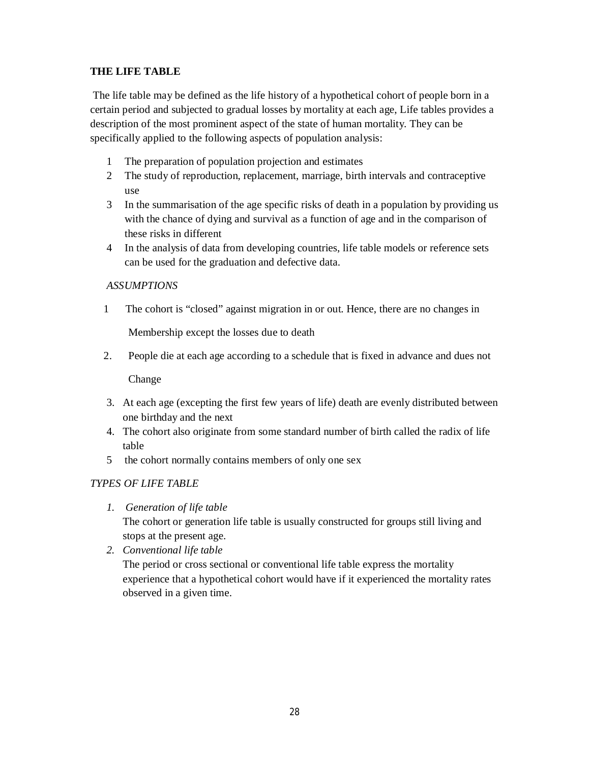# **THE LIFE TABLE**

The life table may be defined as the life history of a hypothetical cohort of people born in a certain period and subjected to gradual losses by mortality at each age, Life tables provides a description of the most prominent aspect of the state of human mortality. They can be specifically applied to the following aspects of population analysis:

- 1 The preparation of population projection and estimates
- 2 The study of reproduction, replacement, marriage, birth intervals and contraceptive use
- 3 In the summarisation of the age specific risks of death in a population by providing us with the chance of dying and survival as a function of age and in the comparison of these risks in different
- 4 In the analysis of data from developing countries, life table models or reference sets can be used for the graduation and defective data.

## *ASSUMPTIONS*

1 The cohort is "closed" against migration in or out. Hence, there are no changes in

Membership except the losses due to death

2. People die at each age according to a schedule that is fixed in advance and dues not

Change

- 3. At each age (excepting the first few years of life) death are evenly distributed between one birthday and the next
- 4. The cohort also originate from some standard number of birth called the radix of life table
- 5 the cohort normally contains members of only one sex

## *TYPES OF LIFE TABLE*

*1. Generation of life table*

The cohort or generation life table is usually constructed for groups still living and stops at the present age.

*2. Conventional life table*

The period or cross sectional or conventional life table express the mortality experience that a hypothetical cohort would have if it experienced the mortality rates observed in a given time.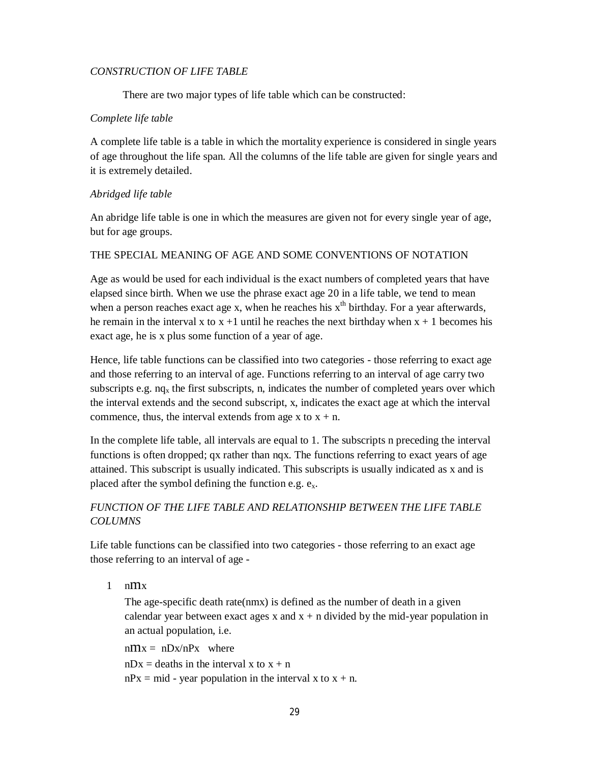### *CONSTRUCTION OF LIFE TABLE*

There are two major types of life table which can be constructed:

### *Complete life table*

A complete life table is a table in which the mortality experience is considered in single years of age throughout the life span. All the columns of the life table are given for single years and it is extremely detailed.

## *Abridged life table*

An abridge life table is one in which the measures are given not for every single year of age, but for age groups.

### THE SPECIAL MEANING OF AGE AND SOME CONVENTIONS OF NOTATION

Age as would be used for each individual is the exact numbers of completed years that have elapsed since birth. When we use the phrase exact age 20 in a life table, we tend to mean when a person reaches exact age x, when he reaches his  $x<sup>th</sup>$  birthday. For a year afterwards, he remain in the interval x to  $x + 1$  until he reaches the next birthday when  $x + 1$  becomes his exact age, he is x plus some function of a year of age.

Hence, life table functions can be classified into two categories - those referring to exact age and those referring to an interval of age. Functions referring to an interval of age carry two subscripts e.g.  $n_q$  the first subscripts, n, indicates the number of completed years over which the interval extends and the second subscript, x, indicates the exact age at which the interval commence, thus, the interval extends from age  $x$  to  $x + n$ .

In the complete life table, all intervals are equal to 1. The subscripts n preceding the interval functions is often dropped; qx rather than nqx. The functions referring to exact years of age attained. This subscript is usually indicated. This subscripts is usually indicated as x and is placed after the symbol defining the function e.g.  $e_x$ .

## *FUNCTION OF THE LIFE TABLE AND RELATIONSHIP BETWEEN THE LIFE TABLE COLUMNS*

Life table functions can be classified into two categories - those referring to an exact age those referring to an interval of age -

 $1$  nm $x$ 

The age-specific death rate(nmx) is defined as the number of death in a given calendar year between exact ages x and  $x + n$  divided by the mid-year population in an actual population, i.e.

 $nmx = nDx/nPx$  where  $nDx =$  deaths in the interval x to  $x + n$  $nPx = mid - year$  population in the interval x to  $x + n$ .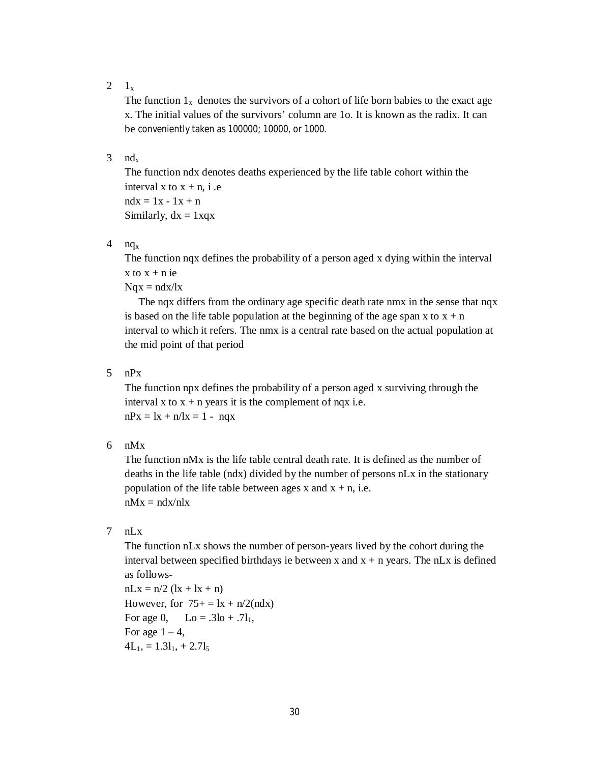$2 \quad 1_x$ 

The function  $1_x$  denotes the survivors of a cohort of life born babies to the exact age x. The initial values of the survivors' column are 1o. It is known as the radix. It can be conveniently taken as 100000; 10000, or 1000.

#### $3$  nd<sub>x</sub>

The function ndx denotes deaths experienced by the life table cohort within the interval x to  $x + n$ , i.e  $ndx = 1x - 1x + n$ Similarly,  $dx = 1xqx$ 

4  $nq_x$ 

The function nqx defines the probability of a person aged x dying within the interval  $x$  to  $x + n$  ie

 $Nqx = ndx/lx$ 

 The nqx differs from the ordinary age specific death rate nmx in the sense that nqx is based on the life table population at the beginning of the age span x to  $x + n$ interval to which it refers. The nmx is a central rate based on the actual population at the mid point of that period

5 nPx

The function npx defines the probability of a person aged x surviving through the interval x to  $x + n$  years it is the complement of nqx i.e.  $nPx = lx + n/lx = 1 - nqx$ 

6 nMx

The function nMx is the life table central death rate. It is defined as the number of deaths in the life table (ndx) divided by the number of persons nLx in the stationary population of the life table between ages x and  $x + n$ , i.e.  $nMx = ndx/nlx$ 

7 nLx

The function nLx shows the number of person-years lived by the cohort during the interval between specified birthdays ie between x and  $x + n$  years. The nLx is defined as follows-

 $nLx = n/2 (lx + lx + n)$ However, for  $75+ = 1x + n/2$ (ndx) For age 0,  $\text{Lo} = .3\text{lo} + .7\text{I}_1$ , For age  $1 - 4$ ,  $4L_1$ , = 1.3l<sub>1</sub>, + 2.7l<sub>5</sub>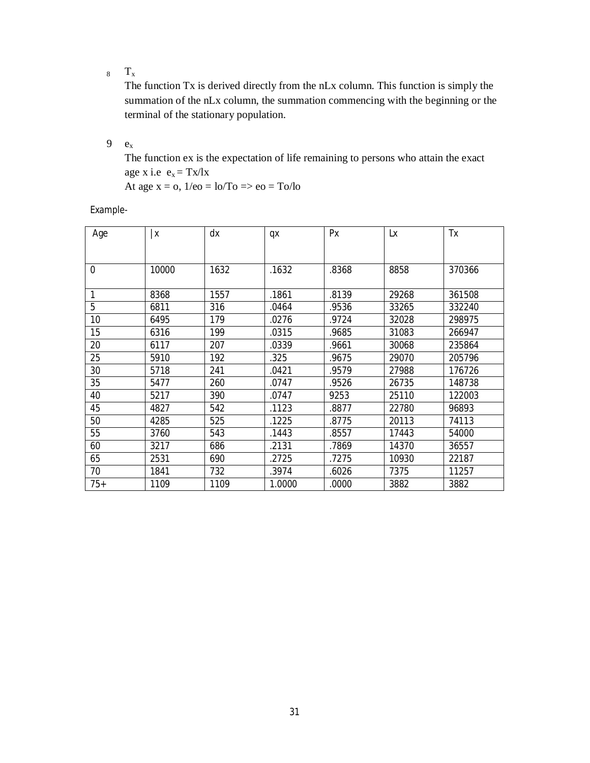$_8$  T<sub>x</sub>

The function Tx is derived directly from the nLx column. This function is simply the summation of the nLx column, the summation commencing with the beginning or the terminal of the stationary population.

 $9 \quad e_x$ 

The function ex is the expectation of life remaining to persons who attain the exact age x i.e  $e_x = Tx/x$ 

At age  $x = 0$ ,  $1/e0 = 10/T$ o  $\Rightarrow$  eo  $= T_0/l_0$ 

*Example-*

| Age      | ΙX    | dx   | qx     | Px    | Lx    | Tx     |
|----------|-------|------|--------|-------|-------|--------|
|          |       |      |        |       |       |        |
| $\theta$ | 10000 | 1632 | .1632  | .8368 | 8858  | 370366 |
| 1        | 8368  | 1557 | .1861  | .8139 | 29268 | 361508 |
| 5        | 6811  | 316  | .0464  | .9536 | 33265 | 332240 |
| 10       | 6495  | 179  | .0276  | .9724 | 32028 | 298975 |
| 15       | 6316  | 199  | .0315  | .9685 | 31083 | 266947 |
| 20       | 6117  | 207  | .0339  | .9661 | 30068 | 235864 |
| 25       | 5910  | 192  | .325   | .9675 | 29070 | 205796 |
| 30       | 5718  | 241  | .0421  | .9579 | 27988 | 176726 |
| 35       | 5477  | 260  | .0747  | .9526 | 26735 | 148738 |
| 40       | 5217  | 390  | .0747  | 9253  | 25110 | 122003 |
| 45       | 4827  | 542  | .1123  | .8877 | 22780 | 96893  |
| 50       | 4285  | 525  | .1225  | .8775 | 20113 | 74113  |
| 55       | 3760  | 543  | .1443  | .8557 | 17443 | 54000  |
| 60       | 3217  | 686  | .2131  | .7869 | 14370 | 36557  |
| 65       | 2531  | 690  | .2725  | .7275 | 10930 | 22187  |
| 70       | 1841  | 732  | .3974  | .6026 | 7375  | 11257  |
| $75+$    | 1109  | 1109 | 1.0000 | .0000 | 3882  | 3882   |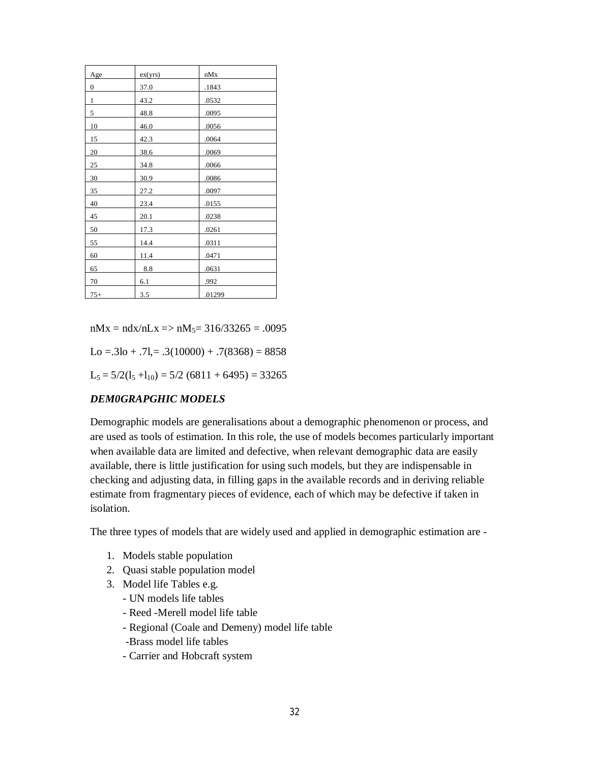| Age              | ex(yrs) | nMx    |
|------------------|---------|--------|
| $\boldsymbol{0}$ | 37.0    | .1843  |
| $\mathbf{1}$     | 43.2    | .0532  |
| 5                | 48.8    | .0095  |
| 10               | 46.0    | .0056  |
| 15               | 42.3    | .0064  |
| 20               | 38.6    | .0069  |
| 25               | 34.8    | .0066  |
| 30               | 30.9    | .0086  |
| 35               | 27.2    | .0097  |
| 40               | 23.4    | .0155  |
| 45               | 20.1    | .0238  |
| 50               | 17.3    | .0261  |
| 55               | 14.4    | .0311  |
| 60               | 11.4    | .0471  |
| 65               | 8.8     | .0631  |
| 70               | 6.1     | .992   |
| $75+$            | 3.5     | .01299 |

 $nMx = ndx/nLx \Rightarrow nM_5 = 316/33265 = .0095$ 

 $Lo = .3lo + .7l = .3(10000) + .7(8368) = 8858$ 

 $L_5 = 5/2(l_5 + l_{10}) = 5/2 (6811 + 6495) = 33265$ 

#### *DEM0GRAPGHIC MODELS*

Demographic models are generalisations about a demographic phenomenon or process, and are used as tools of estimation. In this role, the use of models becomes particularly important when available data are limited and defective, when relevant demographic data are easily available, there is little justification for using such models, but they are indispensable in checking and adjusting data, in filling gaps in the available records and in deriving reliable estimate from fragmentary pieces of evidence, each of which may be defective if taken in isolation.

The three types of models that are widely used and applied in demographic estimation are -

- 1. Models stable population
- 2. Quasi stable population model
- 3. Model life Tables e.g.
	- UN models life tables
	- Reed -Merell model life table
	- Regional (Coale and Demeny) model life table
	- -Brass model life tables
	- Carrier and Hobcraft system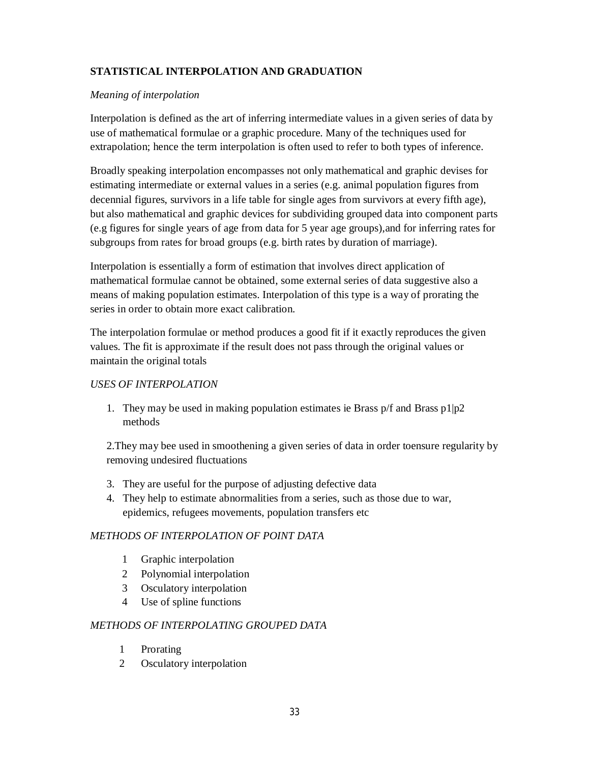# **STATISTICAL INTERPOLATION AND GRADUATION**

### *Meaning of interpolation*

Interpolation is defined as the art of inferring intermediate values in a given series of data by use of mathematical formulae or a graphic procedure. Many of the techniques used for extrapolation; hence the term interpolation is often used to refer to both types of inference.

Broadly speaking interpolation encompasses not only mathematical and graphic devises for estimating intermediate or external values in a series (e.g. animal population figures from decennial figures, survivors in a life table for single ages from survivors at every fifth age), but also mathematical and graphic devices for subdividing grouped data into component parts (e.g figures for single years of age from data for 5 year age groups),and for inferring rates for subgroups from rates for broad groups (e.g. birth rates by duration of marriage).

Interpolation is essentially a form of estimation that involves direct application of mathematical formulae cannot be obtained, some external series of data suggestive also a means of making population estimates. Interpolation of this type is a way of prorating the series in order to obtain more exact calibration.

The interpolation formulae or method produces a good fit if it exactly reproduces the given values. The fit is approximate if the result does not pass through the original values or maintain the original totals

### *USES OF INTERPOLATION*

1. They may be used in making population estimates ie Brass  $p/f$  and Brass  $p1|p2$ methods

2.They may bee used in smoothening a given series of data in order toensure regularity by removing undesired fluctuations

- 3. They are useful for the purpose of adjusting defective data
- 4. They help to estimate abnormalities from a series, such as those due to war, epidemics, refugees movements, population transfers etc

## *METHODS OF INTERPOLATION OF POINT DATA*

- 1 Graphic interpolation
- 2 Polynomial interpolation
- 3 Osculatory interpolation
- 4 Use of spline functions

## *METHODS OF INTERPOLATING GROUPED DATA*

- 1 Prorating
- 2 Osculatory interpolation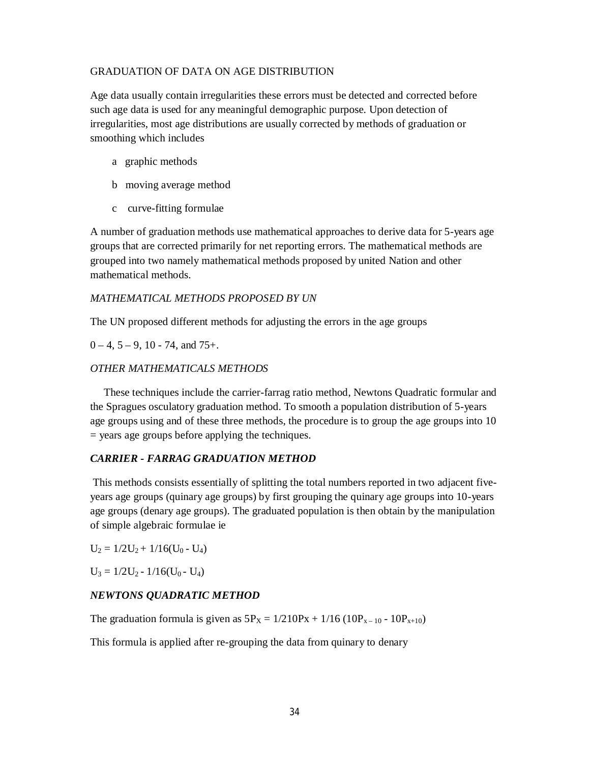### GRADUATION OF DATA ON AGE DISTRIBUTION

Age data usually contain irregularities these errors must be detected and corrected before such age data is used for any meaningful demographic purpose. Upon detection of irregularities, most age distributions are usually corrected by methods of graduation or smoothing which includes

- a graphic methods
- b moving average method
- c curve-fitting formulae

A number of graduation methods use mathematical approaches to derive data for 5-years age groups that are corrected primarily for net reporting errors. The mathematical methods are grouped into two namely mathematical methods proposed by united Nation and other mathematical methods.

### *MATHEMATICAL METHODS PROPOSED BY UN*

The UN proposed different methods for adjusting the errors in the age groups

 $0 - 4$ ,  $5 - 9$ ,  $10 - 74$ , and  $75 +$ .

## *OTHER MATHEMATICALS METHODS*

 These techniques include the carrier-farrag ratio method, Newtons Quadratic formular and the Spragues osculatory graduation method. To smooth a population distribution of 5-years age groups using and of these three methods, the procedure is to group the age groups into 10 = years age groups before applying the techniques.

## *CARRIER - FARRAG GRADUATION METHOD*

This methods consists essentially of splitting the total numbers reported in two adjacent fiveyears age groups (quinary age groups) by first grouping the quinary age groups into 10-years age groups (denary age groups). The graduated population is then obtain by the manipulation of simple algebraic formulae ie

 $U_2 = 1/2U_2 + 1/16(U_0 - U_4)$ 

 $U_3 = 1/2U_2 - 1/16(U_0 - U_4)$ 

#### *NEWTONS QUADRATIC METHOD*

The graduation formula is given as  $5P_X = 1/210Px + 1/16 (10P_{X-10} - 10P_{X+10})$ 

This formula is applied after re-grouping the data from quinary to denary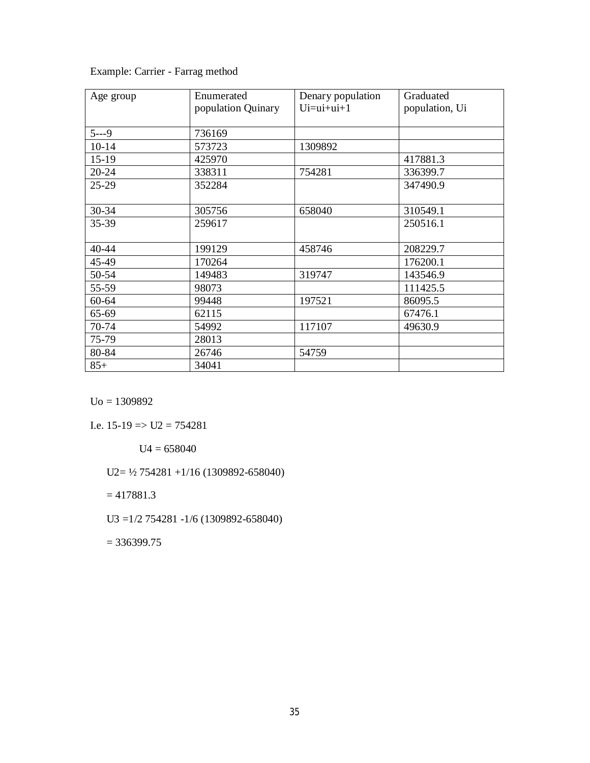| Example: Carrier - Farrag method |  |
|----------------------------------|--|
|----------------------------------|--|

| Age group | Enumerated<br>population Quinary | Denary population<br>$Ui = ui + ui + 1$ | Graduated<br>population, Ui |
|-----------|----------------------------------|-----------------------------------------|-----------------------------|
|           |                                  |                                         |                             |
| $5--9$    | 736169                           |                                         |                             |
| $10 - 14$ | 573723                           | 1309892                                 |                             |
| $15-19$   | 425970                           |                                         | 417881.3                    |
| 20-24     | 338311                           | 754281                                  | 336399.7                    |
| 25-29     | 352284                           |                                         | 347490.9                    |
|           |                                  |                                         |                             |
| 30-34     | 305756                           | 658040                                  | 310549.1                    |
| 35-39     | 259617                           |                                         | 250516.1                    |
|           |                                  |                                         |                             |
| 40-44     | 199129                           | 458746                                  | 208229.7                    |
| 45-49     | 170264                           |                                         | 176200.1                    |
| 50-54     | 149483                           | 319747                                  | 143546.9                    |
| 55-59     | 98073                            |                                         | 111425.5                    |
| 60-64     | 99448                            | 197521                                  | 86095.5                     |
| 65-69     | 62115                            |                                         | 67476.1                     |
| 70-74     | 54992                            | 117107                                  | 49630.9                     |
| 75-79     | 28013                            |                                         |                             |
| 80-84     | 26746                            | 54759                                   |                             |
| $85+$     | 34041                            |                                         |                             |

Uo = 1309892

I.e.  $15-19 \Rightarrow U2 = 754281$ 

 $U4 = 658040$ 

U2= ½ 754281 +1/16 (1309892-658040)

 $= 417881.3$ 

U3 =1/2 754281 -1/6 (1309892-658040)

 $= 336399.75$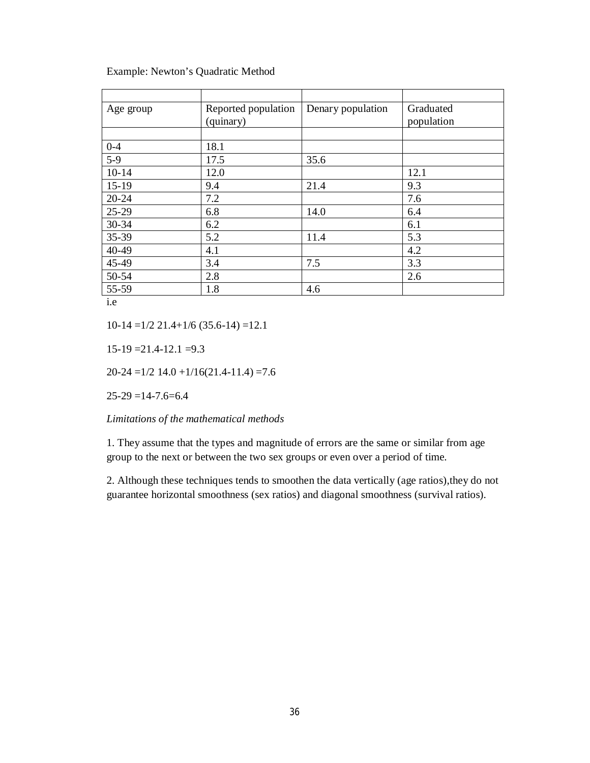| Age group | Reported population<br>(quinary) | Denary population | Graduated<br>population |
|-----------|----------------------------------|-------------------|-------------------------|
|           |                                  |                   |                         |
| $0 - 4$   | 18.1                             |                   |                         |
| $5-9$     | 17.5                             | 35.6              |                         |
| $10 - 14$ | 12.0                             |                   | 12.1                    |
| $15-19$   | 9.4                              | 21.4              | 9.3                     |
| $20 - 24$ | 7.2                              |                   | 7.6                     |
| $25-29$   | 6.8                              | 14.0              | 6.4                     |
| 30-34     | 6.2                              |                   | 6.1                     |
| 35-39     | 5.2                              | 11.4              | 5.3                     |
| 40-49     | 4.1                              |                   | 4.2                     |
| 45-49     | 3.4                              | 7.5               | 3.3                     |
| 50-54     | 2.8                              |                   | 2.6                     |
| 55-59     | 1.8                              | 4.6               |                         |

Example: Newton's Quadratic Method

i.e

 $10-14 = 1/2$  21.4+1/6 (35.6-14) =12.1

 $15-19 = 21.4-12.1 = 9.3$ 

 $20-24 = 1/2$  14.0  $+1/16(21.4-11.4) = 7.6$ 

 $25-29 = 14-7.6=6.4$ 

*Limitations of the mathematical methods*

1. They assume that the types and magnitude of errors are the same or similar from age group to the next or between the two sex groups or even over a period of time.

2. Although these techniques tends to smoothen the data vertically (age ratios),they do not guarantee horizontal smoothness (sex ratios) and diagonal smoothness (survival ratios).